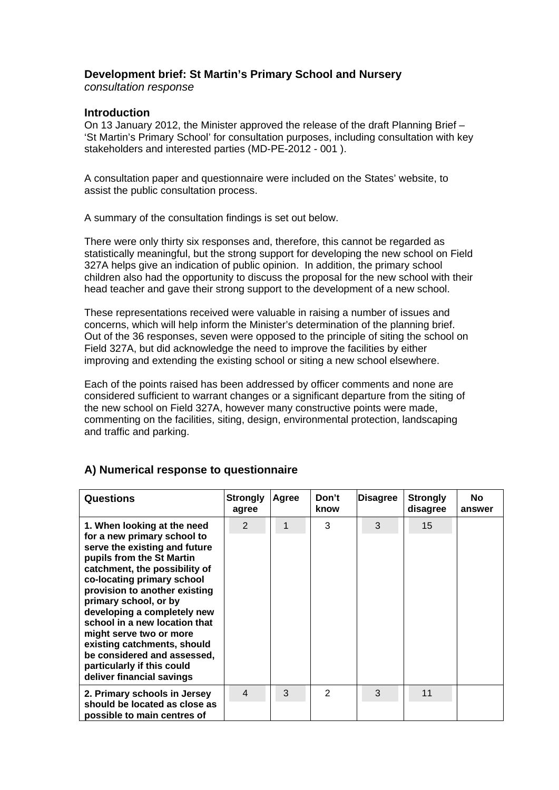## **Development brief: St Martin's Primary School and Nursery**

*consultation response* 

## **Introduction**

On 13 January 2012, the Minister approved the release of the draft Planning Brief – 'St Martin's Primary School' for consultation purposes, including consultation with key stakeholders and interested parties (MD-PE-2012 - 001 ).

A consultation paper and questionnaire were included on the States' website, to assist the public consultation process.

A summary of the consultation findings is set out below.

There were only thirty six responses and, therefore, this cannot be regarded as statistically meaningful, but the strong support for developing the new school on Field 327A helps give an indication of public opinion. In addition, the primary school children also had the opportunity to discuss the proposal for the new school with their head teacher and gave their strong support to the development of a new school.

These representations received were valuable in raising a number of issues and concerns, which will help inform the Minister's determination of the planning brief. Out of the 36 responses, seven were opposed to the principle of siting the school on Field 327A, but did acknowledge the need to improve the facilities by either improving and extending the existing school or siting a new school elsewhere.

Each of the points raised has been addressed by officer comments and none are considered sufficient to warrant changes or a significant departure from the siting of the new school on Field 327A, however many constructive points were made, commenting on the facilities, siting, design, environmental protection, landscaping and traffic and parking.

| <b>Questions</b>                                                                                                                                                                                                                                                                                                                                                                                                                                                      | <b>Strongly</b><br>agree | Agree | Don't<br>know | <b>Disagree</b> | <b>Strongly</b><br>disagree | No.<br>answer |
|-----------------------------------------------------------------------------------------------------------------------------------------------------------------------------------------------------------------------------------------------------------------------------------------------------------------------------------------------------------------------------------------------------------------------------------------------------------------------|--------------------------|-------|---------------|-----------------|-----------------------------|---------------|
| 1. When looking at the need<br>for a new primary school to<br>serve the existing and future<br>pupils from the St Martin<br>catchment, the possibility of<br>co-locating primary school<br>provision to another existing<br>primary school, or by<br>developing a completely new<br>school in a new location that<br>might serve two or more<br>existing catchments, should<br>be considered and assessed,<br>particularly if this could<br>deliver financial savings | $\mathcal{P}$            |       | 3             | 3               | 15                          |               |
| 2. Primary schools in Jersey<br>should be located as close as<br>possible to main centres of                                                                                                                                                                                                                                                                                                                                                                          | 4                        | 3     | $\mathcal{P}$ | 3               | 11                          |               |

## **A) Numerical response to questionnaire**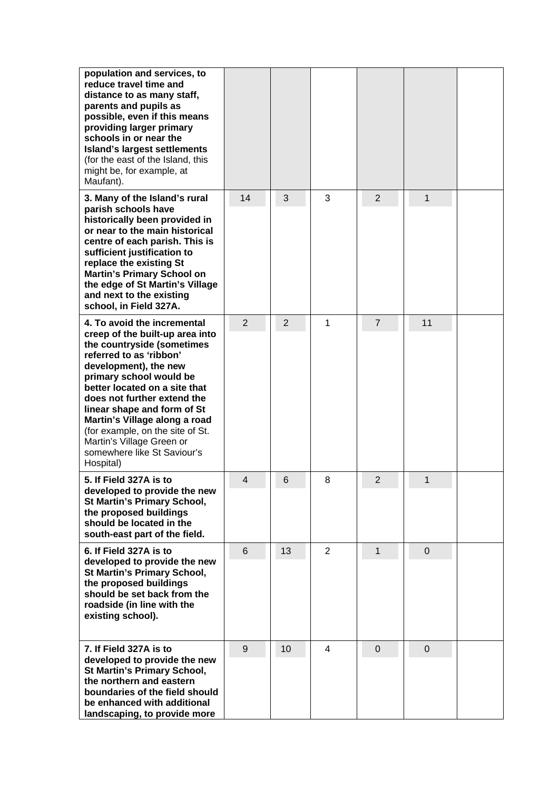| population and services, to<br>reduce travel time and<br>distance to as many staff,<br>parents and pupils as<br>possible, even if this means<br>providing larger primary<br>schools in or near the<br><b>Island's largest settlements</b><br>(for the east of the Island, this<br>might be, for example, at<br>Maufant).                                                                                                 |    |                |                |                |                |  |
|--------------------------------------------------------------------------------------------------------------------------------------------------------------------------------------------------------------------------------------------------------------------------------------------------------------------------------------------------------------------------------------------------------------------------|----|----------------|----------------|----------------|----------------|--|
| 3. Many of the Island's rural<br>parish schools have<br>historically been provided in<br>or near to the main historical<br>centre of each parish. This is<br>sufficient justification to<br>replace the existing St<br><b>Martin's Primary School on</b><br>the edge of St Martin's Village<br>and next to the existing<br>school, in Field 327A.                                                                        | 14 | 3              | 3              | $\overline{2}$ | 1              |  |
| 4. To avoid the incremental<br>creep of the built-up area into<br>the countryside (sometimes<br>referred to as 'ribbon'<br>development), the new<br>primary school would be<br>better located on a site that<br>does not further extend the<br>linear shape and form of St<br>Martin's Village along a road<br>(for example, on the site of St.<br>Martin's Village Green or<br>somewhere like St Saviour's<br>Hospital) | 2  | $\overline{2}$ | 1              | $\overline{7}$ | 11             |  |
| 5. If Field 327A is to<br>developed to provide the new<br><b>St Martin's Primary School,</b><br>the proposed buildings<br>should be located in the<br>south-east part of the field.                                                                                                                                                                                                                                      | 4  | 6              | 8              | 2              | 1              |  |
| 6. If Field 327A is to<br>developed to provide the new<br>St Martin's Primary School,<br>the proposed buildings<br>should be set back from the<br>roadside (in line with the<br>existing school).                                                                                                                                                                                                                        | 6  | 13             | $\overline{2}$ | $\mathbf{1}$   | $\overline{0}$ |  |
| 7. If Field 327A is to<br>developed to provide the new<br>St Martin's Primary School,<br>the northern and eastern<br>boundaries of the field should<br>be enhanced with additional<br>landscaping, to provide more                                                                                                                                                                                                       | 9  | 10             | 4              | $\overline{0}$ | $\overline{0}$ |  |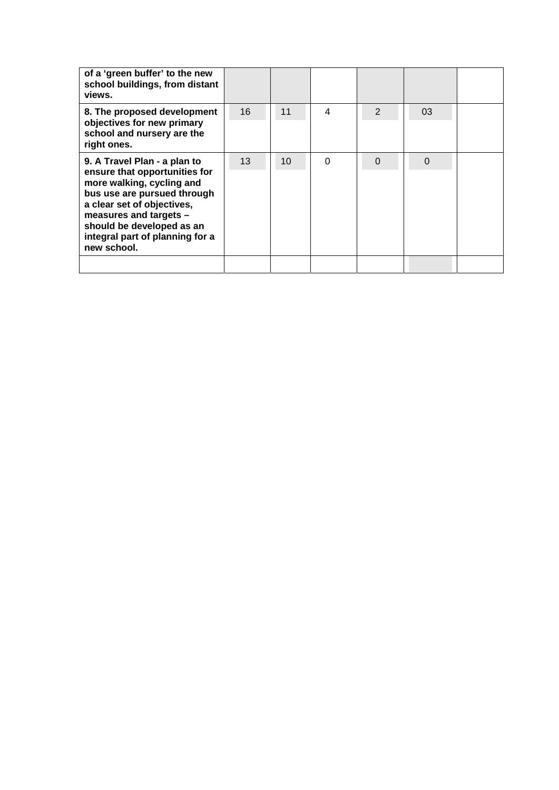| of a 'green buffer' to the new<br>school buildings, from distant<br>views.                                                                                                                                                                                       |    |    |          |               |                |  |
|------------------------------------------------------------------------------------------------------------------------------------------------------------------------------------------------------------------------------------------------------------------|----|----|----------|---------------|----------------|--|
| 8. The proposed development<br>objectives for new primary<br>school and nursery are the<br>right ones.                                                                                                                                                           | 16 | 11 | 4        | $\mathcal{P}$ | 03             |  |
| 9. A Travel Plan - a plan to<br>ensure that opportunities for<br>more walking, cycling and<br>bus use are pursued through<br>a clear set of objectives,<br>measures and targets -<br>should be developed as an<br>integral part of planning for a<br>new school. | 13 | 10 | $\Omega$ | $\Omega$      | $\overline{0}$ |  |
|                                                                                                                                                                                                                                                                  |    |    |          |               |                |  |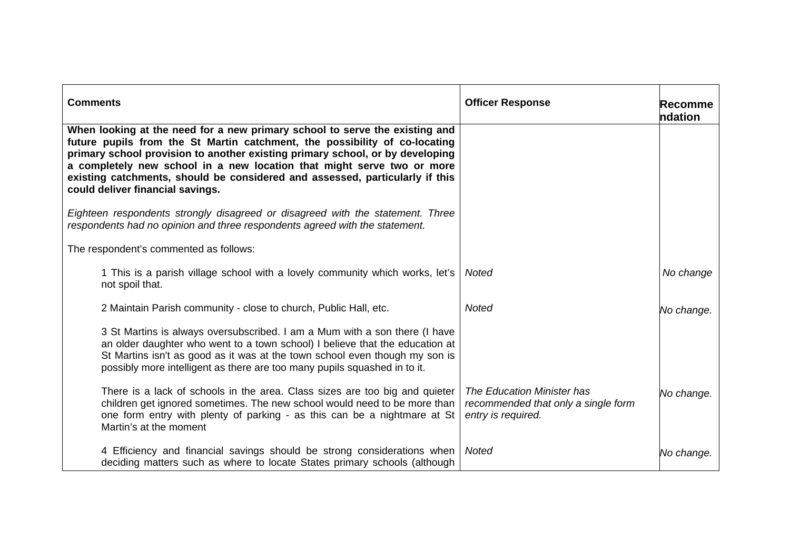| <b>Comments</b>                                                                                                                                                                                                                                                                                                                                                                                                                          | <b>Officer Response</b>                                                                 | Recomme<br>ndation |
|------------------------------------------------------------------------------------------------------------------------------------------------------------------------------------------------------------------------------------------------------------------------------------------------------------------------------------------------------------------------------------------------------------------------------------------|-----------------------------------------------------------------------------------------|--------------------|
| When looking at the need for a new primary school to serve the existing and<br>future pupils from the St Martin catchment, the possibility of co-locating<br>primary school provision to another existing primary school, or by developing<br>a completely new school in a new location that might serve two or more<br>existing catchments, should be considered and assessed, particularly if this<br>could deliver financial savings. |                                                                                         |                    |
| Eighteen respondents strongly disagreed or disagreed with the statement. Three<br>respondents had no opinion and three respondents agreed with the statement.                                                                                                                                                                                                                                                                            |                                                                                         |                    |
| The respondent's commented as follows:                                                                                                                                                                                                                                                                                                                                                                                                   |                                                                                         |                    |
| 1 This is a parish village school with a lovely community which works, let's<br>not spoil that.                                                                                                                                                                                                                                                                                                                                          | <b>Noted</b>                                                                            | No change          |
| 2 Maintain Parish community - close to church, Public Hall, etc.                                                                                                                                                                                                                                                                                                                                                                         | <b>Noted</b>                                                                            | No change.         |
| 3 St Martins is always oversubscribed. I am a Mum with a son there (I have<br>an older daughter who went to a town school) I believe that the education at<br>St Martins isn't as good as it was at the town school even though my son is<br>possibly more intelligent as there are too many pupils squashed in to it.                                                                                                                   |                                                                                         |                    |
| There is a lack of schools in the area. Class sizes are too big and quieter<br>children get ignored sometimes. The new school would need to be more than<br>one form entry with plenty of parking - as this can be a nightmare at St<br>Martin's at the moment                                                                                                                                                                           | The Education Minister has<br>recommended that only a single form<br>entry is required. | No change.         |
| 4 Efficiency and financial savings should be strong considerations when<br>deciding matters such as where to locate States primary schools (although                                                                                                                                                                                                                                                                                     | <b>Noted</b>                                                                            | No change.         |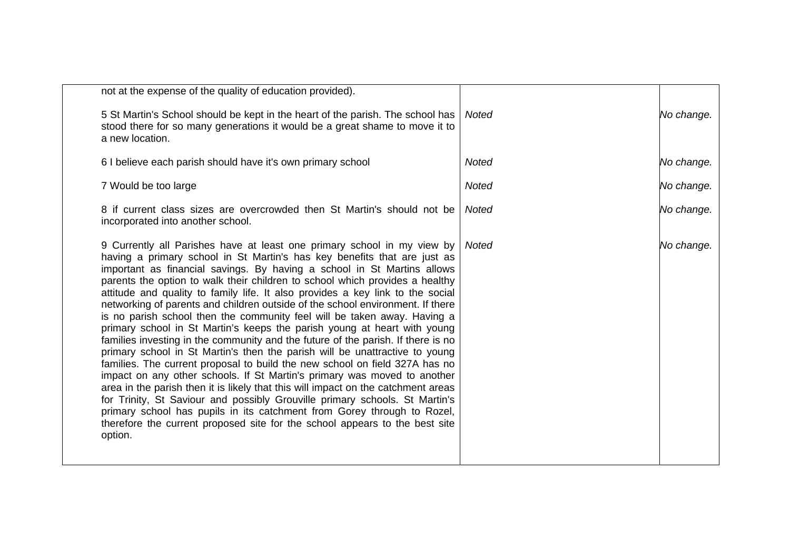| not at the expense of the quality of education provided).                                                                                                                                                                                                                                                                                                                                                                                                                                                                                                                                                                                                                                                                                                                                                                                                                                                                                                                                                                                                                                                                                                                                                                                                                                                         |              |            |
|-------------------------------------------------------------------------------------------------------------------------------------------------------------------------------------------------------------------------------------------------------------------------------------------------------------------------------------------------------------------------------------------------------------------------------------------------------------------------------------------------------------------------------------------------------------------------------------------------------------------------------------------------------------------------------------------------------------------------------------------------------------------------------------------------------------------------------------------------------------------------------------------------------------------------------------------------------------------------------------------------------------------------------------------------------------------------------------------------------------------------------------------------------------------------------------------------------------------------------------------------------------------------------------------------------------------|--------------|------------|
| 5 St Martin's School should be kept in the heart of the parish. The school has<br>stood there for so many generations it would be a great shame to move it to<br>a new location.                                                                                                                                                                                                                                                                                                                                                                                                                                                                                                                                                                                                                                                                                                                                                                                                                                                                                                                                                                                                                                                                                                                                  | Noted        | No change. |
| 6 I believe each parish should have it's own primary school                                                                                                                                                                                                                                                                                                                                                                                                                                                                                                                                                                                                                                                                                                                                                                                                                                                                                                                                                                                                                                                                                                                                                                                                                                                       | <b>Noted</b> | No change. |
| 7 Would be too large                                                                                                                                                                                                                                                                                                                                                                                                                                                                                                                                                                                                                                                                                                                                                                                                                                                                                                                                                                                                                                                                                                                                                                                                                                                                                              | <b>Noted</b> | No change. |
| 8 if current class sizes are overcrowded then St Martin's should not be<br>incorporated into another school.                                                                                                                                                                                                                                                                                                                                                                                                                                                                                                                                                                                                                                                                                                                                                                                                                                                                                                                                                                                                                                                                                                                                                                                                      | <b>Noted</b> | No change. |
| 9 Currently all Parishes have at least one primary school in my view by<br>having a primary school in St Martin's has key benefits that are just as<br>important as financial savings. By having a school in St Martins allows<br>parents the option to walk their children to school which provides a healthy<br>attitude and quality to family life. It also provides a key link to the social<br>networking of parents and children outside of the school environment. If there<br>is no parish school then the community feel will be taken away. Having a<br>primary school in St Martin's keeps the parish young at heart with young<br>families investing in the community and the future of the parish. If there is no<br>primary school in St Martin's then the parish will be unattractive to young<br>families. The current proposal to build the new school on field 327A has no<br>impact on any other schools. If St Martin's primary was moved to another<br>area in the parish then it is likely that this will impact on the catchment areas<br>for Trinity, St Saviour and possibly Grouville primary schools. St Martin's<br>primary school has pupils in its catchment from Gorey through to Rozel,<br>therefore the current proposed site for the school appears to the best site<br>option. | Noted        | No change. |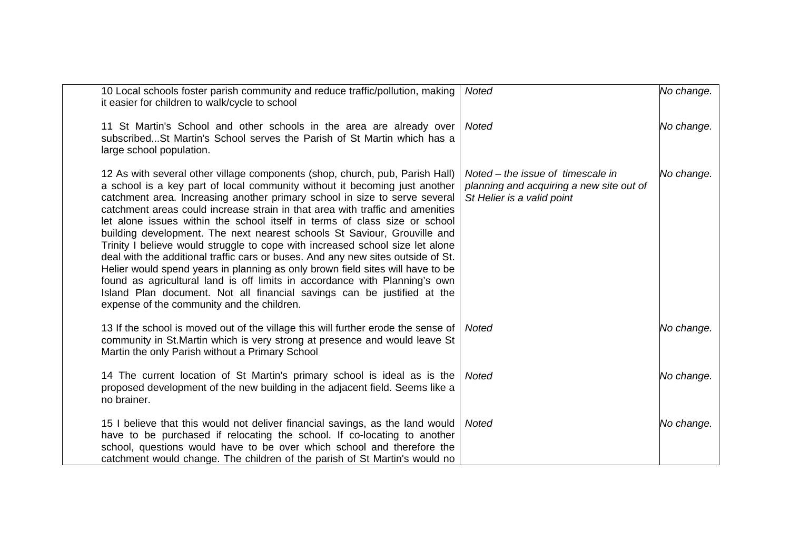| 10 Local schools foster parish community and reduce traffic/pollution, making<br>it easier for children to walk/cycle to school                                                                                                                                                                                                                                                                                                                                                                                                                                                                                                                                                                                                                                                                                                                                                                                                                   | <b>Noted</b>                                                                                                | No change. |
|---------------------------------------------------------------------------------------------------------------------------------------------------------------------------------------------------------------------------------------------------------------------------------------------------------------------------------------------------------------------------------------------------------------------------------------------------------------------------------------------------------------------------------------------------------------------------------------------------------------------------------------------------------------------------------------------------------------------------------------------------------------------------------------------------------------------------------------------------------------------------------------------------------------------------------------------------|-------------------------------------------------------------------------------------------------------------|------------|
| 11 St Martin's School and other schools in the area are already over<br>subscribed St Martin's School serves the Parish of St Martin which has a<br>large school population.                                                                                                                                                                                                                                                                                                                                                                                                                                                                                                                                                                                                                                                                                                                                                                      | <b>Noted</b>                                                                                                | No change. |
| 12 As with several other village components (shop, church, pub, Parish Hall)<br>a school is a key part of local community without it becoming just another<br>catchment area. Increasing another primary school in size to serve several<br>catchment areas could increase strain in that area with traffic and amenities<br>let alone issues within the school itself in terms of class size or school<br>building development. The next nearest schools St Saviour, Grouville and<br>Trinity I believe would struggle to cope with increased school size let alone<br>deal with the additional traffic cars or buses. And any new sites outside of St.<br>Helier would spend years in planning as only brown field sites will have to be<br>found as agricultural land is off limits in accordance with Planning's own<br>Island Plan document. Not all financial savings can be justified at the<br>expense of the community and the children. | Noted – the issue of timescale in<br>planning and acquiring a new site out of<br>St Helier is a valid point | No change. |
| 13 If the school is moved out of the village this will further erode the sense of<br>community in St.Martin which is very strong at presence and would leave St<br>Martin the only Parish without a Primary School                                                                                                                                                                                                                                                                                                                                                                                                                                                                                                                                                                                                                                                                                                                                | <b>Noted</b>                                                                                                | No change. |
| 14 The current location of St Martin's primary school is ideal as is the<br>proposed development of the new building in the adjacent field. Seems like a<br>no brainer.                                                                                                                                                                                                                                                                                                                                                                                                                                                                                                                                                                                                                                                                                                                                                                           | <b>Noted</b>                                                                                                | No change. |
| 15 I believe that this would not deliver financial savings, as the land would<br>have to be purchased if relocating the school. If co-locating to another<br>school, questions would have to be over which school and therefore the<br>catchment would change. The children of the parish of St Martin's would no                                                                                                                                                                                                                                                                                                                                                                                                                                                                                                                                                                                                                                 | <b>Noted</b>                                                                                                | No change. |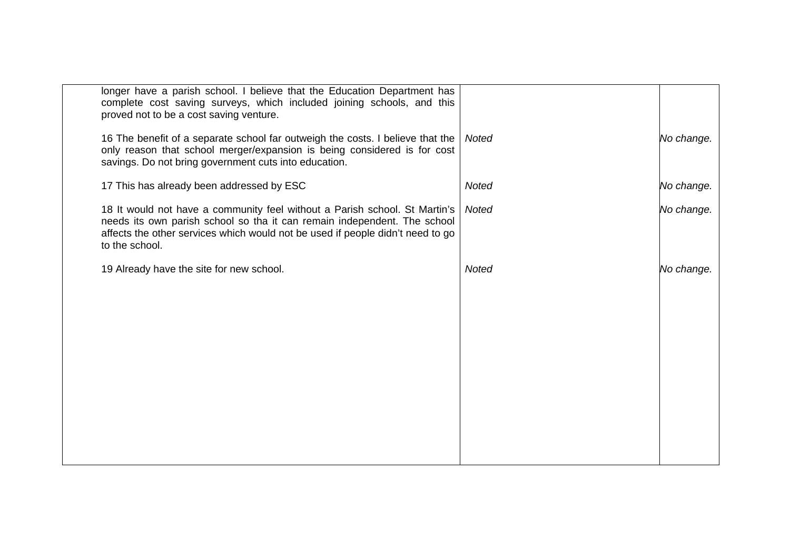| longer have a parish school. I believe that the Education Department has<br>complete cost saving surveys, which included joining schools, and this<br>proved not to be a cost saving venture.                                                              |              |            |
|------------------------------------------------------------------------------------------------------------------------------------------------------------------------------------------------------------------------------------------------------------|--------------|------------|
| 16 The benefit of a separate school far outweigh the costs. I believe that the<br>only reason that school merger/expansion is being considered is for cost<br>savings. Do not bring government cuts into education.                                        | <b>Noted</b> | No change. |
| 17 This has already been addressed by ESC                                                                                                                                                                                                                  | <b>Noted</b> | No change. |
| 18 It would not have a community feel without a Parish school. St Martin's<br>needs its own parish school so tha it can remain independent. The school<br>affects the other services which would not be used if people didn't need to go<br>to the school. | <b>Noted</b> | No change. |
| 19 Already have the site for new school.                                                                                                                                                                                                                   | <b>Noted</b> | No change. |
|                                                                                                                                                                                                                                                            |              |            |
|                                                                                                                                                                                                                                                            |              |            |
|                                                                                                                                                                                                                                                            |              |            |
|                                                                                                                                                                                                                                                            |              |            |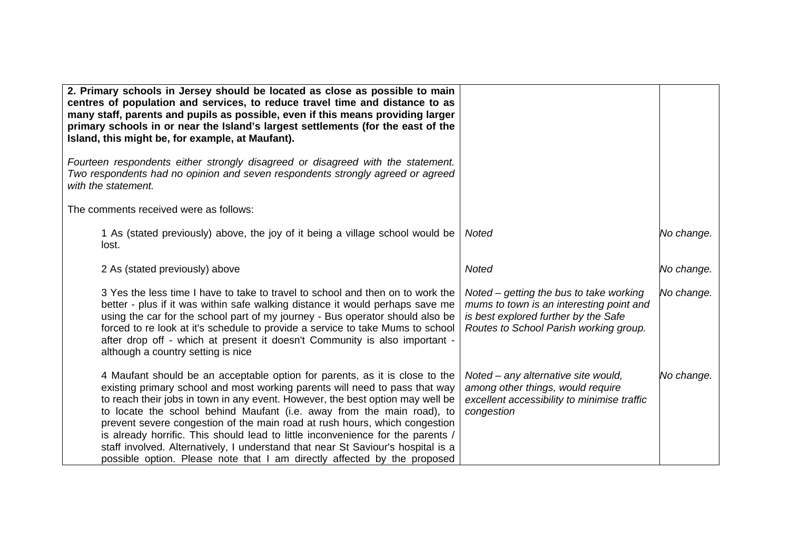| 2. Primary schools in Jersey should be located as close as possible to main<br>centres of population and services, to reduce travel time and distance to as<br>many staff, parents and pupils as possible, even if this means providing larger<br>primary schools in or near the Island's largest settlements (for the east of the<br>Island, this might be, for example, at Maufant).                                                                                                                                                                                                                                                                  |                                                                                                                                                                         |            |
|---------------------------------------------------------------------------------------------------------------------------------------------------------------------------------------------------------------------------------------------------------------------------------------------------------------------------------------------------------------------------------------------------------------------------------------------------------------------------------------------------------------------------------------------------------------------------------------------------------------------------------------------------------|-------------------------------------------------------------------------------------------------------------------------------------------------------------------------|------------|
| Fourteen respondents either strongly disagreed or disagreed with the statement.<br>Two respondents had no opinion and seven respondents strongly agreed or agreed<br>with the statement.                                                                                                                                                                                                                                                                                                                                                                                                                                                                |                                                                                                                                                                         |            |
| The comments received were as follows:                                                                                                                                                                                                                                                                                                                                                                                                                                                                                                                                                                                                                  |                                                                                                                                                                         |            |
| 1 As (stated previously) above, the joy of it being a village school would be<br>lost.                                                                                                                                                                                                                                                                                                                                                                                                                                                                                                                                                                  | Noted                                                                                                                                                                   | No change. |
| 2 As (stated previously) above                                                                                                                                                                                                                                                                                                                                                                                                                                                                                                                                                                                                                          | <b>Noted</b>                                                                                                                                                            | No change. |
| 3 Yes the less time I have to take to travel to school and then on to work the<br>better - plus if it was within safe walking distance it would perhaps save me<br>using the car for the school part of my journey - Bus operator should also be<br>forced to re look at it's schedule to provide a service to take Mums to school<br>after drop off - which at present it doesn't Community is also important -<br>although a country setting is nice                                                                                                                                                                                                  | Noted $-$ getting the bus to take working<br>mums to town is an interesting point and<br>is best explored further by the Safe<br>Routes to School Parish working group. | No change. |
| 4 Maufant should be an acceptable option for parents, as it is close to the<br>existing primary school and most working parents will need to pass that way<br>to reach their jobs in town in any event. However, the best option may well be<br>to locate the school behind Maufant (i.e. away from the main road), to<br>prevent severe congestion of the main road at rush hours, which congestion<br>is already horrific. This should lead to little inconvenience for the parents /<br>staff involved. Alternatively, I understand that near St Saviour's hospital is a<br>possible option. Please note that I am directly affected by the proposed | Noted – any alternative site would,<br>among other things, would require<br>excellent accessibility to minimise traffic<br>congestion                                   | No change. |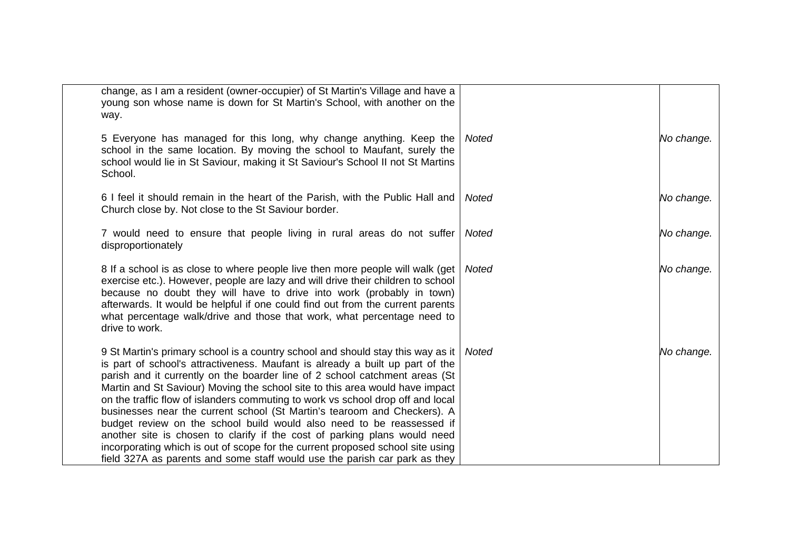| change, as I am a resident (owner-occupier) of St Martin's Village and have a<br>young son whose name is down for St Martin's School, with another on the<br>way.                                                                                                                                                                                                                                                                                                                                                                                                                                                                                                                                                                                                                                                    |              |            |
|----------------------------------------------------------------------------------------------------------------------------------------------------------------------------------------------------------------------------------------------------------------------------------------------------------------------------------------------------------------------------------------------------------------------------------------------------------------------------------------------------------------------------------------------------------------------------------------------------------------------------------------------------------------------------------------------------------------------------------------------------------------------------------------------------------------------|--------------|------------|
| 5 Everyone has managed for this long, why change anything. Keep the<br>school in the same location. By moving the school to Maufant, surely the<br>school would lie in St Saviour, making it St Saviour's School II not St Martins<br>School.                                                                                                                                                                                                                                                                                                                                                                                                                                                                                                                                                                        | <b>Noted</b> | No change. |
| 6 I feel it should remain in the heart of the Parish, with the Public Hall and<br>Church close by. Not close to the St Saviour border.                                                                                                                                                                                                                                                                                                                                                                                                                                                                                                                                                                                                                                                                               | <b>Noted</b> | No change. |
| 7 would need to ensure that people living in rural areas do not suffer<br>disproportionately                                                                                                                                                                                                                                                                                                                                                                                                                                                                                                                                                                                                                                                                                                                         | Noted        | No change. |
| 8 If a school is as close to where people live then more people will walk (get<br>exercise etc.). However, people are lazy and will drive their children to school<br>because no doubt they will have to drive into work (probably in town)<br>afterwards. It would be helpful if one could find out from the current parents<br>what percentage walk/drive and those that work, what percentage need to<br>drive to work.                                                                                                                                                                                                                                                                                                                                                                                           | <b>Noted</b> | No change. |
| 9 St Martin's primary school is a country school and should stay this way as it<br>is part of school's attractiveness. Maufant is already a built up part of the<br>parish and it currently on the boarder line of 2 school catchment areas (St<br>Martin and St Saviour) Moving the school site to this area would have impact<br>on the traffic flow of islanders commuting to work vs school drop off and local<br>businesses near the current school (St Martin's tearoom and Checkers). A<br>budget review on the school build would also need to be reassessed if<br>another site is chosen to clarify if the cost of parking plans would need<br>incorporating which is out of scope for the current proposed school site using<br>field 327A as parents and some staff would use the parish car park as they | Noted        | No change. |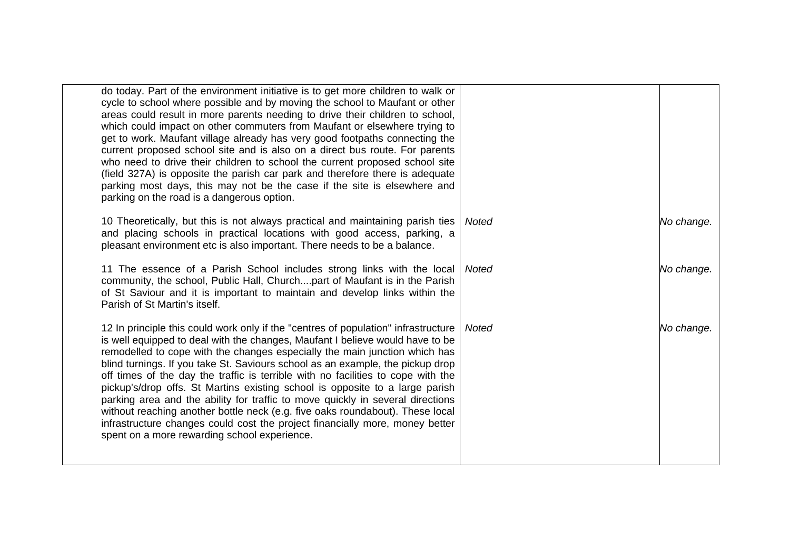| do today. Part of the environment initiative is to get more children to walk or<br>cycle to school where possible and by moving the school to Maufant or other<br>areas could result in more parents needing to drive their children to school,<br>which could impact on other commuters from Maufant or elsewhere trying to<br>get to work. Maufant village already has very good footpaths connecting the<br>current proposed school site and is also on a direct bus route. For parents<br>who need to drive their children to school the current proposed school site<br>(field 327A) is opposite the parish car park and therefore there is adequate<br>parking most days, this may not be the case if the site is elsewhere and<br>parking on the road is a dangerous option.                        |              |            |
|------------------------------------------------------------------------------------------------------------------------------------------------------------------------------------------------------------------------------------------------------------------------------------------------------------------------------------------------------------------------------------------------------------------------------------------------------------------------------------------------------------------------------------------------------------------------------------------------------------------------------------------------------------------------------------------------------------------------------------------------------------------------------------------------------------|--------------|------------|
| 10 Theoretically, but this is not always practical and maintaining parish ties<br>and placing schools in practical locations with good access, parking, a<br>pleasant environment etc is also important. There needs to be a balance.                                                                                                                                                                                                                                                                                                                                                                                                                                                                                                                                                                      | <b>Noted</b> | No change. |
| 11 The essence of a Parish School includes strong links with the local<br>community, the school, Public Hall, Churchpart of Maufant is in the Parish<br>of St Saviour and it is important to maintain and develop links within the<br>Parish of St Martin's itself.                                                                                                                                                                                                                                                                                                                                                                                                                                                                                                                                        | <b>Noted</b> | No change. |
| 12 In principle this could work only if the "centres of population" infrastructure<br>is well equipped to deal with the changes, Maufant I believe would have to be<br>remodelled to cope with the changes especially the main junction which has<br>blind turnings. If you take St. Saviours school as an example, the pickup drop<br>off times of the day the traffic is terrible with no facilities to cope with the<br>pickup's/drop offs. St Martins existing school is opposite to a large parish<br>parking area and the ability for traffic to move quickly in several directions<br>without reaching another bottle neck (e.g. five oaks roundabout). These local<br>infrastructure changes could cost the project financially more, money better<br>spent on a more rewarding school experience. | <b>Noted</b> | No change. |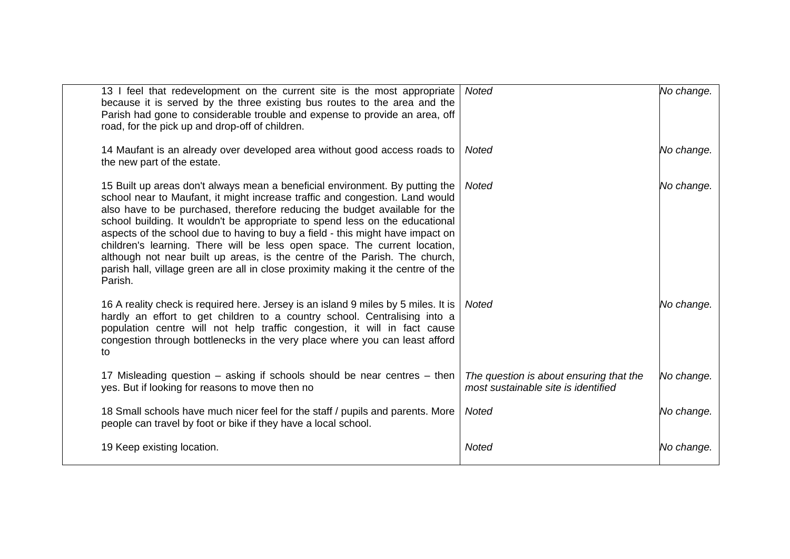| 13 I feel that redevelopment on the current site is the most appropriate<br>because it is served by the three existing bus routes to the area and the<br>Parish had gone to considerable trouble and expense to provide an area, off<br>road, for the pick up and drop-off of children.                                                                                                                                                                                                                                                                                                                                                                                 | <b>Noted</b>                                                                   | No change. |
|-------------------------------------------------------------------------------------------------------------------------------------------------------------------------------------------------------------------------------------------------------------------------------------------------------------------------------------------------------------------------------------------------------------------------------------------------------------------------------------------------------------------------------------------------------------------------------------------------------------------------------------------------------------------------|--------------------------------------------------------------------------------|------------|
| 14 Maufant is an already over developed area without good access roads to<br>the new part of the estate.                                                                                                                                                                                                                                                                                                                                                                                                                                                                                                                                                                | Noted                                                                          | No change. |
| 15 Built up areas don't always mean a beneficial environment. By putting the<br>school near to Maufant, it might increase traffic and congestion. Land would<br>also have to be purchased, therefore reducing the budget available for the<br>school building. It wouldn't be appropriate to spend less on the educational<br>aspects of the school due to having to buy a field - this might have impact on<br>children's learning. There will be less open space. The current location,<br>although not near built up areas, is the centre of the Parish. The church,<br>parish hall, village green are all in close proximity making it the centre of the<br>Parish. | <b>Noted</b>                                                                   | No change. |
| 16 A reality check is required here. Jersey is an island 9 miles by 5 miles. It is<br>hardly an effort to get children to a country school. Centralising into a<br>population centre will not help traffic congestion, it will in fact cause<br>congestion through bottlenecks in the very place where you can least afford<br>to                                                                                                                                                                                                                                                                                                                                       | <b>Noted</b>                                                                   | No change. |
| 17 Misleading question – asking if schools should be near centres – then<br>yes. But if looking for reasons to move then no                                                                                                                                                                                                                                                                                                                                                                                                                                                                                                                                             | The question is about ensuring that the<br>most sustainable site is identified | No change. |
| 18 Small schools have much nicer feel for the staff / pupils and parents. More<br>people can travel by foot or bike if they have a local school.                                                                                                                                                                                                                                                                                                                                                                                                                                                                                                                        | <b>Noted</b>                                                                   | No change. |
| 19 Keep existing location.                                                                                                                                                                                                                                                                                                                                                                                                                                                                                                                                                                                                                                              | Noted                                                                          | No change. |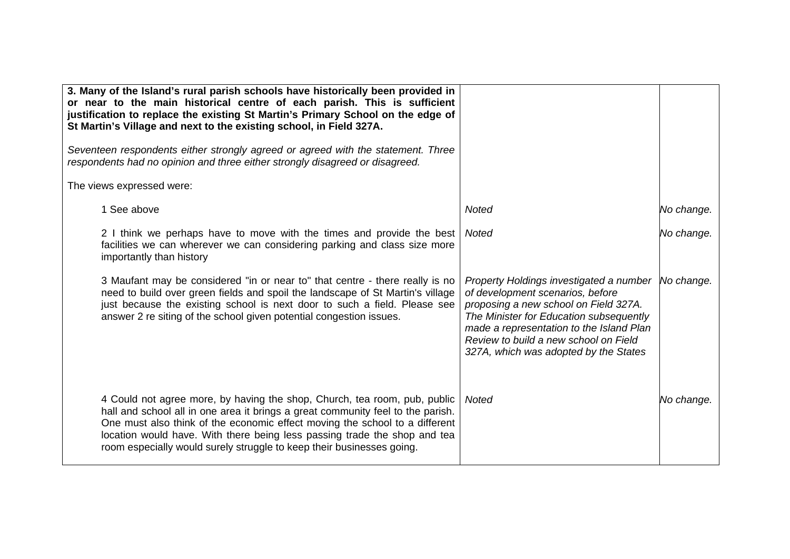| 3. Many of the Island's rural parish schools have historically been provided in<br>or near to the main historical centre of each parish. This is sufficient<br>justification to replace the existing St Martin's Primary School on the edge of<br>St Martin's Village and next to the existing school, in Field 327A.                                                                             |                                                                                                                                                                                                                                                                                                          |            |
|---------------------------------------------------------------------------------------------------------------------------------------------------------------------------------------------------------------------------------------------------------------------------------------------------------------------------------------------------------------------------------------------------|----------------------------------------------------------------------------------------------------------------------------------------------------------------------------------------------------------------------------------------------------------------------------------------------------------|------------|
| Seventeen respondents either strongly agreed or agreed with the statement. Three<br>respondents had no opinion and three either strongly disagreed or disagreed.                                                                                                                                                                                                                                  |                                                                                                                                                                                                                                                                                                          |            |
| The views expressed were:                                                                                                                                                                                                                                                                                                                                                                         |                                                                                                                                                                                                                                                                                                          |            |
| 1 See above                                                                                                                                                                                                                                                                                                                                                                                       | <b>Noted</b>                                                                                                                                                                                                                                                                                             | No change. |
| 2 I think we perhaps have to move with the times and provide the best<br>facilities we can wherever we can considering parking and class size more<br>importantly than history                                                                                                                                                                                                                    | <b>Noted</b>                                                                                                                                                                                                                                                                                             | No change. |
| 3 Maufant may be considered "in or near to" that centre - there really is no<br>need to build over green fields and spoil the landscape of St Martin's village<br>just because the existing school is next door to such a field. Please see<br>answer 2 re siting of the school given potential congestion issues.                                                                                | Property Holdings investigated a number No change.<br>of development scenarios, before<br>proposing a new school on Field 327A.<br>The Minister for Education subsequently<br>made a representation to the Island Plan<br>Review to build a new school on Field<br>327A, which was adopted by the States |            |
| 4 Could not agree more, by having the shop, Church, tea room, pub, public<br>hall and school all in one area it brings a great community feel to the parish.<br>One must also think of the economic effect moving the school to a different<br>location would have. With there being less passing trade the shop and tea<br>room especially would surely struggle to keep their businesses going. | <b>Noted</b>                                                                                                                                                                                                                                                                                             | No change. |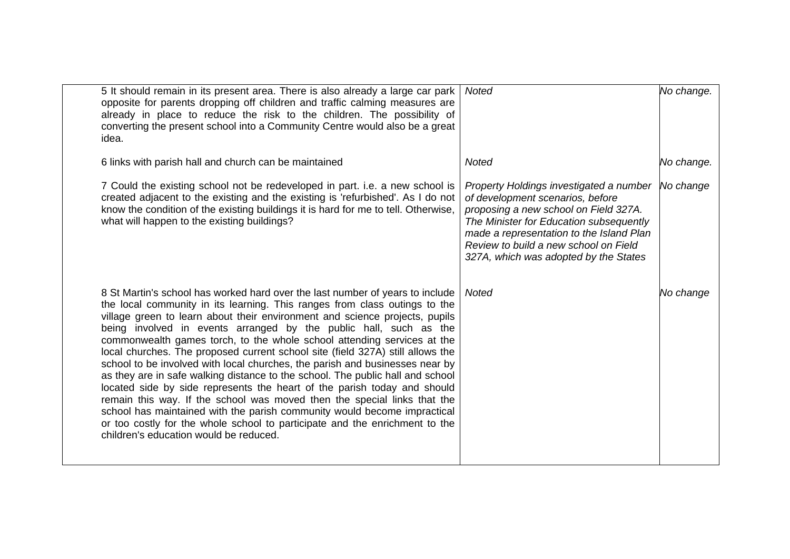| 5 It should remain in its present area. There is also already a large car park<br>opposite for parents dropping off children and traffic calming measures are<br>already in place to reduce the risk to the children. The possibility of<br>converting the present school into a Community Centre would also be a great<br>idea.                                                                                                                                                                                                                                                                                                                                                                                                                                                                                                                                                                                                                                                                            | <b>Noted</b>                                                                                                                                                                                                                                                                                  | No change. |
|-------------------------------------------------------------------------------------------------------------------------------------------------------------------------------------------------------------------------------------------------------------------------------------------------------------------------------------------------------------------------------------------------------------------------------------------------------------------------------------------------------------------------------------------------------------------------------------------------------------------------------------------------------------------------------------------------------------------------------------------------------------------------------------------------------------------------------------------------------------------------------------------------------------------------------------------------------------------------------------------------------------|-----------------------------------------------------------------------------------------------------------------------------------------------------------------------------------------------------------------------------------------------------------------------------------------------|------------|
| 6 links with parish hall and church can be maintained                                                                                                                                                                                                                                                                                                                                                                                                                                                                                                                                                                                                                                                                                                                                                                                                                                                                                                                                                       | <b>Noted</b>                                                                                                                                                                                                                                                                                  | No change. |
| 7 Could the existing school not be redeveloped in part. i.e. a new school is<br>created adjacent to the existing and the existing is 'refurbished'. As I do not<br>know the condition of the existing buildings it is hard for me to tell. Otherwise,<br>what will happen to the existing buildings?                                                                                                                                                                                                                                                                                                                                                                                                                                                                                                                                                                                                                                                                                                        | Property Holdings investigated a number<br>of development scenarios, before<br>proposing a new school on Field 327A.<br>The Minister for Education subsequently<br>made a representation to the Island Plan<br>Review to build a new school on Field<br>327A, which was adopted by the States | No change  |
| 8 St Martin's school has worked hard over the last number of years to include<br>the local community in its learning. This ranges from class outings to the<br>village green to learn about their environment and science projects, pupils<br>being involved in events arranged by the public hall, such as the<br>commonwealth games torch, to the whole school attending services at the<br>local churches. The proposed current school site (field 327A) still allows the<br>school to be involved with local churches, the parish and businesses near by<br>as they are in safe walking distance to the school. The public hall and school<br>located side by side represents the heart of the parish today and should<br>remain this way. If the school was moved then the special links that the<br>school has maintained with the parish community would become impractical<br>or too costly for the whole school to participate and the enrichment to the<br>children's education would be reduced. | Noted                                                                                                                                                                                                                                                                                         | No change  |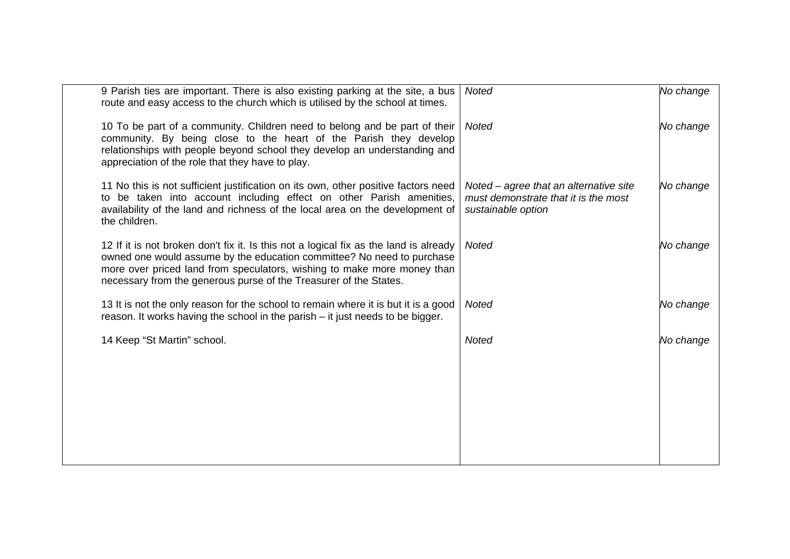| 9 Parish ties are important. There is also existing parking at the site, a bus<br>route and easy access to the church which is utilised by the school at times.                                                                                                                                                 | <b>Noted</b>                                                                                         | No change |
|-----------------------------------------------------------------------------------------------------------------------------------------------------------------------------------------------------------------------------------------------------------------------------------------------------------------|------------------------------------------------------------------------------------------------------|-----------|
| 10 To be part of a community. Children need to belong and be part of their<br>community. By being close to the heart of the Parish they develop<br>relationships with people beyond school they develop an understanding and<br>appreciation of the role that they have to play.                                | <b>Noted</b>                                                                                         | No change |
| 11 No this is not sufficient justification on its own, other positive factors need<br>to be taken into account including effect on other Parish amenities,<br>availability of the land and richness of the local area on the development of<br>the children.                                                    | Noted – agree that an alternative site<br>must demonstrate that it is the most<br>sustainable option | No change |
| 12 If it is not broken don't fix it. Is this not a logical fix as the land is already<br>owned one would assume by the education committee? No need to purchase<br>more over priced land from speculators, wishing to make more money than<br>necessary from the generous purse of the Treasurer of the States. | <b>Noted</b>                                                                                         | No change |
| 13 It is not the only reason for the school to remain where it is but it is a good<br>reason. It works having the school in the parish - it just needs to be bigger.                                                                                                                                            | <b>Noted</b>                                                                                         | No change |
| 14 Keep "St Martin" school.                                                                                                                                                                                                                                                                                     | <b>Noted</b>                                                                                         | No change |
|                                                                                                                                                                                                                                                                                                                 |                                                                                                      |           |
|                                                                                                                                                                                                                                                                                                                 |                                                                                                      |           |
|                                                                                                                                                                                                                                                                                                                 |                                                                                                      |           |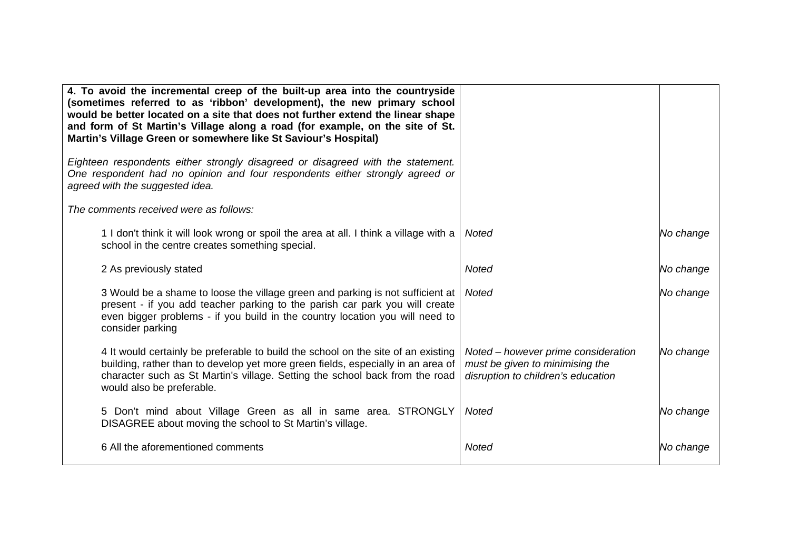| 4. To avoid the incremental creep of the built-up area into the countryside<br>(sometimes referred to as 'ribbon' development), the new primary school<br>would be better located on a site that does not further extend the linear shape<br>and form of St Martin's Village along a road (for example, on the site of St.<br>Martin's Village Green or somewhere like St Saviour's Hospital) |                                                                                                              |           |
|-----------------------------------------------------------------------------------------------------------------------------------------------------------------------------------------------------------------------------------------------------------------------------------------------------------------------------------------------------------------------------------------------|--------------------------------------------------------------------------------------------------------------|-----------|
| Eighteen respondents either strongly disagreed or disagreed with the statement.<br>One respondent had no opinion and four respondents either strongly agreed or<br>agreed with the suggested idea.                                                                                                                                                                                            |                                                                                                              |           |
| The comments received were as follows:                                                                                                                                                                                                                                                                                                                                                        |                                                                                                              |           |
| 1 I don't think it will look wrong or spoil the area at all. I think a village with a<br>school in the centre creates something special.                                                                                                                                                                                                                                                      | Noted                                                                                                        | No change |
| 2 As previously stated                                                                                                                                                                                                                                                                                                                                                                        | Noted                                                                                                        | No change |
| 3 Would be a shame to loose the village green and parking is not sufficient at<br>present - if you add teacher parking to the parish car park you will create<br>even bigger problems - if you build in the country location you will need to<br>consider parking                                                                                                                             | Noted                                                                                                        | No change |
| 4 It would certainly be preferable to build the school on the site of an existing<br>building, rather than to develop yet more green fields, especially in an area of<br>character such as St Martin's village. Setting the school back from the road<br>would also be preferable.                                                                                                            | Noted – however prime consideration<br>must be given to minimising the<br>disruption to children's education | No change |
| 5 Don't mind about Village Green as all in same area. STRONGLY<br>DISAGREE about moving the school to St Martin's village.                                                                                                                                                                                                                                                                    | Noted                                                                                                        | No change |
| 6 All the aforementioned comments                                                                                                                                                                                                                                                                                                                                                             | Noted                                                                                                        | No change |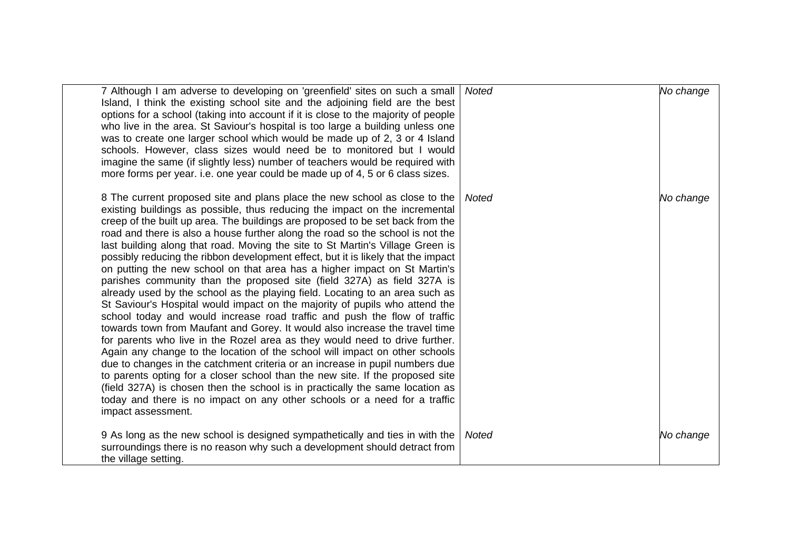| 7 Although I am adverse to developing on 'greenfield' sites on such a small<br>Island, I think the existing school site and the adjoining field are the best<br>options for a school (taking into account if it is close to the majority of people<br>who live in the area. St Saviour's hospital is too large a building unless one<br>was to create one larger school which would be made up of 2, 3 or 4 Island<br>schools. However, class sizes would need be to monitored but I would<br>imagine the same (if slightly less) number of teachers would be required with<br>more forms per year. i.e. one year could be made up of 4, 5 or 6 class sizes.                                                                                                                                                                                                                                                                                                                                                                                                                                                                                                                                                                                                                                                                                                                                                                                                                                               | <b>Noted</b> | No change |
|------------------------------------------------------------------------------------------------------------------------------------------------------------------------------------------------------------------------------------------------------------------------------------------------------------------------------------------------------------------------------------------------------------------------------------------------------------------------------------------------------------------------------------------------------------------------------------------------------------------------------------------------------------------------------------------------------------------------------------------------------------------------------------------------------------------------------------------------------------------------------------------------------------------------------------------------------------------------------------------------------------------------------------------------------------------------------------------------------------------------------------------------------------------------------------------------------------------------------------------------------------------------------------------------------------------------------------------------------------------------------------------------------------------------------------------------------------------------------------------------------------|--------------|-----------|
| 8 The current proposed site and plans place the new school as close to the<br>existing buildings as possible, thus reducing the impact on the incremental<br>creep of the built up area. The buildings are proposed to be set back from the<br>road and there is also a house further along the road so the school is not the<br>last building along that road. Moving the site to St Martin's Village Green is<br>possibly reducing the ribbon development effect, but it is likely that the impact<br>on putting the new school on that area has a higher impact on St Martin's<br>parishes community than the proposed site (field 327A) as field 327A is<br>already used by the school as the playing field. Locating to an area such as<br>St Saviour's Hospital would impact on the majority of pupils who attend the<br>school today and would increase road traffic and push the flow of traffic<br>towards town from Maufant and Gorey. It would also increase the travel time<br>for parents who live in the Rozel area as they would need to drive further.<br>Again any change to the location of the school will impact on other schools<br>due to changes in the catchment criteria or an increase in pupil numbers due<br>to parents opting for a closer school than the new site. If the proposed site<br>(field 327A) is chosen then the school is in practically the same location as<br>today and there is no impact on any other schools or a need for a traffic<br>impact assessment. | Noted        | No change |
| 9 As long as the new school is designed sympathetically and ties in with the<br>surroundings there is no reason why such a development should detract from<br>the village setting.                                                                                                                                                                                                                                                                                                                                                                                                                                                                                                                                                                                                                                                                                                                                                                                                                                                                                                                                                                                                                                                                                                                                                                                                                                                                                                                         | <b>Noted</b> | No change |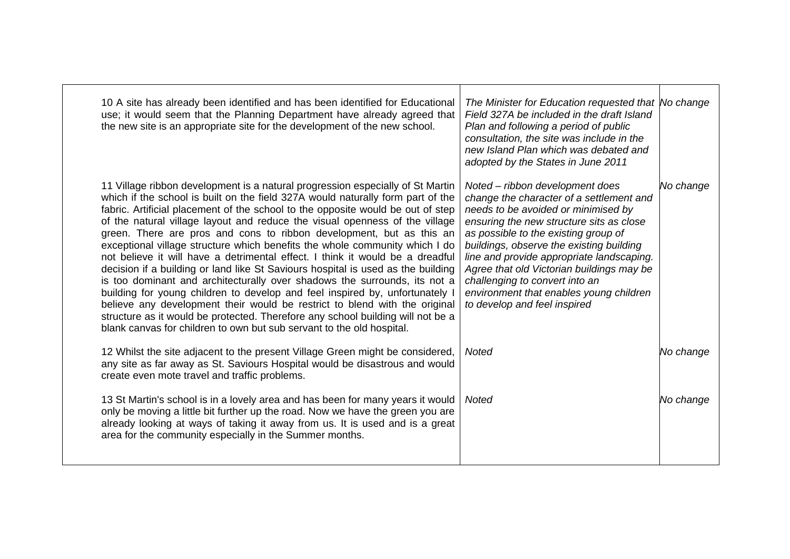| 10 A site has already been identified and has been identified for Educational<br>use; it would seem that the Planning Department have already agreed that<br>the new site is an appropriate site for the development of the new school.                                                                                                                                                                                                                                                                                                                                                                                                                                                                                                                                                                                                                                                                                                                                                                                                                                | The Minister for Education requested that No change<br>Field 327A be included in the draft Island<br>Plan and following a period of public<br>consultation, the site was include in the<br>new Island Plan which was debated and<br>adopted by the States in June 2011                                                                                                                                                                                    |           |
|------------------------------------------------------------------------------------------------------------------------------------------------------------------------------------------------------------------------------------------------------------------------------------------------------------------------------------------------------------------------------------------------------------------------------------------------------------------------------------------------------------------------------------------------------------------------------------------------------------------------------------------------------------------------------------------------------------------------------------------------------------------------------------------------------------------------------------------------------------------------------------------------------------------------------------------------------------------------------------------------------------------------------------------------------------------------|-----------------------------------------------------------------------------------------------------------------------------------------------------------------------------------------------------------------------------------------------------------------------------------------------------------------------------------------------------------------------------------------------------------------------------------------------------------|-----------|
| 11 Village ribbon development is a natural progression especially of St Martin<br>which if the school is built on the field 327A would naturally form part of the<br>fabric. Artificial placement of the school to the opposite would be out of step<br>of the natural village layout and reduce the visual openness of the village<br>green. There are pros and cons to ribbon development, but as this an<br>exceptional village structure which benefits the whole community which I do<br>not believe it will have a detrimental effect. I think it would be a dreadful<br>decision if a building or land like St Saviours hospital is used as the building<br>is too dominant and architecturally over shadows the surrounds, its not a<br>building for young children to develop and feel inspired by, unfortunately I<br>believe any development their would be restrict to blend with the original<br>structure as it would be protected. Therefore any school building will not be a<br>blank canvas for children to own but sub servant to the old hospital. | Noted – ribbon development does<br>change the character of a settlement and<br>needs to be avoided or minimised by<br>ensuring the new structure sits as close<br>as possible to the existing group of<br>buildings, observe the existing building<br>line and provide appropriate landscaping.<br>Agree that old Victorian buildings may be<br>challenging to convert into an<br>environment that enables young children<br>to develop and feel inspired | No change |
| 12 Whilst the site adjacent to the present Village Green might be considered,<br>any site as far away as St. Saviours Hospital would be disastrous and would<br>create even mote travel and traffic problems.                                                                                                                                                                                                                                                                                                                                                                                                                                                                                                                                                                                                                                                                                                                                                                                                                                                          | <b>Noted</b>                                                                                                                                                                                                                                                                                                                                                                                                                                              | No change |
| 13 St Martin's school is in a lovely area and has been for many years it would<br>only be moving a little bit further up the road. Now we have the green you are<br>already looking at ways of taking it away from us. It is used and is a great<br>area for the community especially in the Summer months.                                                                                                                                                                                                                                                                                                                                                                                                                                                                                                                                                                                                                                                                                                                                                            | Noted                                                                                                                                                                                                                                                                                                                                                                                                                                                     | No change |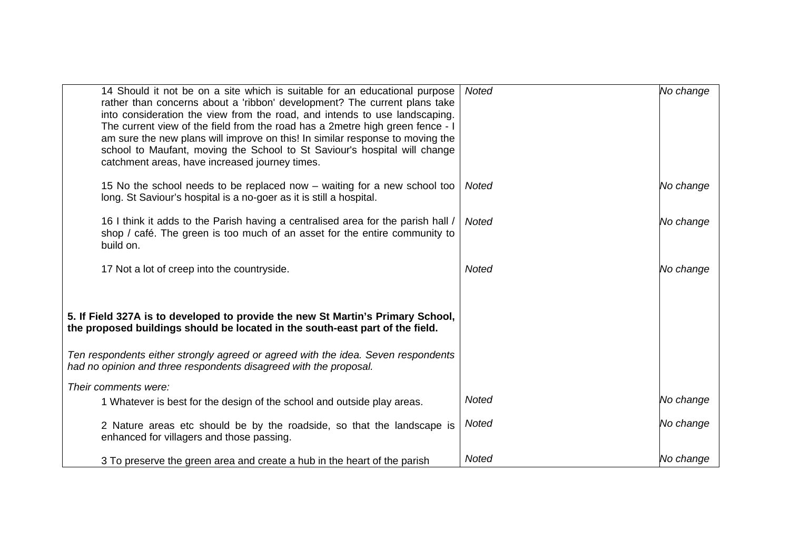| 14 Should it not be on a site which is suitable for an educational purpose<br>rather than concerns about a 'ribbon' development? The current plans take<br>into consideration the view from the road, and intends to use landscaping.<br>The current view of the field from the road has a 2metre high green fence - I<br>am sure the new plans will improve on this! In similar response to moving the<br>school to Maufant, moving the School to St Saviour's hospital will change<br>catchment areas, have increased journey times. | <b>Noted</b> | No change |
|----------------------------------------------------------------------------------------------------------------------------------------------------------------------------------------------------------------------------------------------------------------------------------------------------------------------------------------------------------------------------------------------------------------------------------------------------------------------------------------------------------------------------------------|--------------|-----------|
| 15 No the school needs to be replaced now – waiting for a new school too<br>long. St Saviour's hospital is a no-goer as it is still a hospital.                                                                                                                                                                                                                                                                                                                                                                                        | Noted        | No change |
| 16 I think it adds to the Parish having a centralised area for the parish hall /<br>shop / café. The green is too much of an asset for the entire community to<br>build on.                                                                                                                                                                                                                                                                                                                                                            | <b>Noted</b> | No change |
| 17 Not a lot of creep into the countryside.                                                                                                                                                                                                                                                                                                                                                                                                                                                                                            | <b>Noted</b> | No change |
| 5. If Field 327A is to developed to provide the new St Martin's Primary School,<br>the proposed buildings should be located in the south-east part of the field.                                                                                                                                                                                                                                                                                                                                                                       |              |           |
| Ten respondents either strongly agreed or agreed with the idea. Seven respondents<br>had no opinion and three respondents disagreed with the proposal.                                                                                                                                                                                                                                                                                                                                                                                 |              |           |
| Their comments were:                                                                                                                                                                                                                                                                                                                                                                                                                                                                                                                   |              |           |
| 1 Whatever is best for the design of the school and outside play areas.                                                                                                                                                                                                                                                                                                                                                                                                                                                                | <b>Noted</b> | No change |
| 2 Nature areas etc should be by the roadside, so that the landscape is<br>enhanced for villagers and those passing.                                                                                                                                                                                                                                                                                                                                                                                                                    | <b>Noted</b> | No change |
| 3 To preserve the green area and create a hub in the heart of the parish                                                                                                                                                                                                                                                                                                                                                                                                                                                               | Noted        | No change |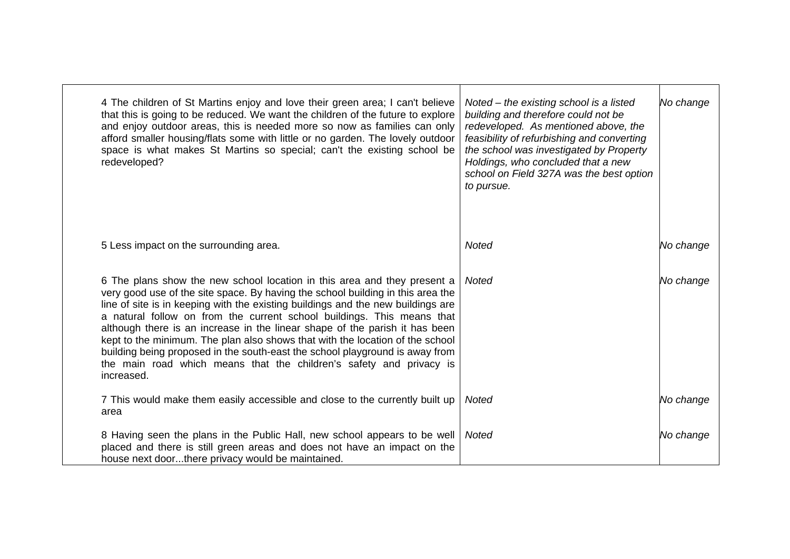| 4 The children of St Martins enjoy and love their green area; I can't believe<br>that this is going to be reduced. We want the children of the future to explore<br>and enjoy outdoor areas, this is needed more so now as families can only<br>afford smaller housing/flats some with little or no garden. The lovely outdoor<br>space is what makes St Martins so special; can't the existing school be<br>redeveloped?                                                                                                                                                                                                                                      | Noted $-$ the existing school is a listed<br>building and therefore could not be<br>redeveloped. As mentioned above, the<br>feasibility of refurbishing and converting<br>the school was investigated by Property<br>Holdings, who concluded that a new<br>school on Field 327A was the best option<br>to pursue. | No change |
|----------------------------------------------------------------------------------------------------------------------------------------------------------------------------------------------------------------------------------------------------------------------------------------------------------------------------------------------------------------------------------------------------------------------------------------------------------------------------------------------------------------------------------------------------------------------------------------------------------------------------------------------------------------|-------------------------------------------------------------------------------------------------------------------------------------------------------------------------------------------------------------------------------------------------------------------------------------------------------------------|-----------|
| 5 Less impact on the surrounding area.                                                                                                                                                                                                                                                                                                                                                                                                                                                                                                                                                                                                                         | <b>Noted</b>                                                                                                                                                                                                                                                                                                      | No change |
| 6 The plans show the new school location in this area and they present a<br>very good use of the site space. By having the school building in this area the<br>line of site is in keeping with the existing buildings and the new buildings are<br>a natural follow on from the current school buildings. This means that<br>although there is an increase in the linear shape of the parish it has been<br>kept to the minimum. The plan also shows that with the location of the school<br>building being proposed in the south-east the school playground is away from<br>the main road which means that the children's safety and privacy is<br>increased. | <b>Noted</b>                                                                                                                                                                                                                                                                                                      | No change |
| 7 This would make them easily accessible and close to the currently built up<br>area                                                                                                                                                                                                                                                                                                                                                                                                                                                                                                                                                                           | Noted                                                                                                                                                                                                                                                                                                             | No change |
| 8 Having seen the plans in the Public Hall, new school appears to be well<br>placed and there is still green areas and does not have an impact on the<br>house next doorthere privacy would be maintained.                                                                                                                                                                                                                                                                                                                                                                                                                                                     | <b>Noted</b>                                                                                                                                                                                                                                                                                                      | No change |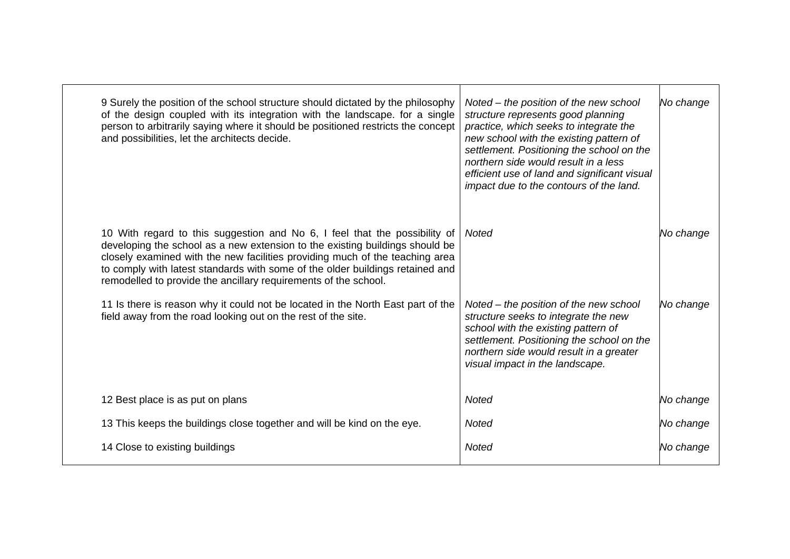| 9 Surely the position of the school structure should dictated by the philosophy<br>of the design coupled with its integration with the landscape. for a single<br>person to arbitrarily saying where it should be positioned restricts the concept<br>and possibilities, let the architects decide.                                                                                            | Noted – the position of the new school<br>structure represents good planning<br>practice, which seeks to integrate the<br>new school with the existing pattern of<br>settlement. Positioning the school on the<br>northern side would result in a less<br>efficient use of land and significant visual<br>impact due to the contours of the land. | No change |
|------------------------------------------------------------------------------------------------------------------------------------------------------------------------------------------------------------------------------------------------------------------------------------------------------------------------------------------------------------------------------------------------|---------------------------------------------------------------------------------------------------------------------------------------------------------------------------------------------------------------------------------------------------------------------------------------------------------------------------------------------------|-----------|
| 10 With regard to this suggestion and No 6, I feel that the possibility of<br>developing the school as a new extension to the existing buildings should be<br>closely examined with the new facilities providing much of the teaching area<br>to comply with latest standards with some of the older buildings retained and<br>remodelled to provide the ancillary requirements of the school. | Noted                                                                                                                                                                                                                                                                                                                                             | No change |
| 11 Is there is reason why it could not be located in the North East part of the<br>field away from the road looking out on the rest of the site.                                                                                                                                                                                                                                               | Noted – the position of the new school<br>structure seeks to integrate the new<br>school with the existing pattern of<br>settlement. Positioning the school on the<br>northern side would result in a greater<br>visual impact in the landscape.                                                                                                  | No change |
| 12 Best place is as put on plans                                                                                                                                                                                                                                                                                                                                                               | <b>Noted</b>                                                                                                                                                                                                                                                                                                                                      | No change |
| 13 This keeps the buildings close together and will be kind on the eye.                                                                                                                                                                                                                                                                                                                        | Noted                                                                                                                                                                                                                                                                                                                                             | No change |
| 14 Close to existing buildings                                                                                                                                                                                                                                                                                                                                                                 | <b>Noted</b>                                                                                                                                                                                                                                                                                                                                      | No change |
|                                                                                                                                                                                                                                                                                                                                                                                                |                                                                                                                                                                                                                                                                                                                                                   |           |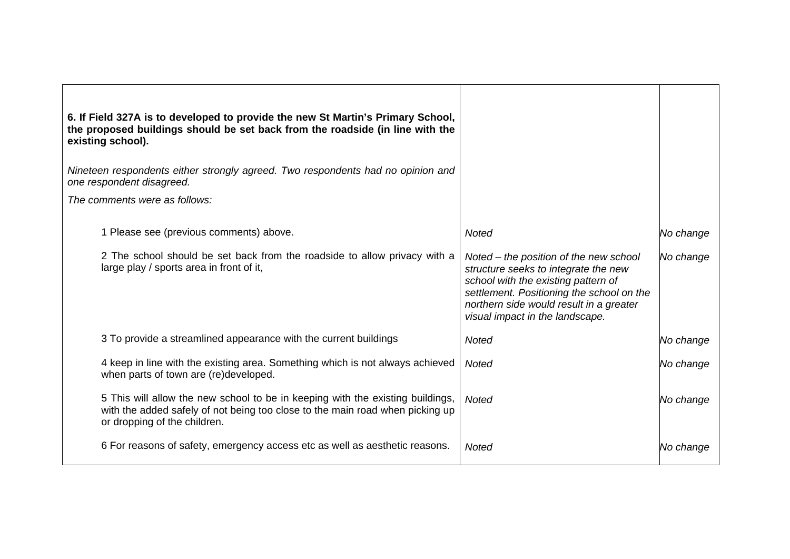| 6. If Field 327A is to developed to provide the new St Martin's Primary School,<br>the proposed buildings should be set back from the roadside (in line with the<br>existing school).           |                                                                                                                                                                                                                                                  |           |
|-------------------------------------------------------------------------------------------------------------------------------------------------------------------------------------------------|--------------------------------------------------------------------------------------------------------------------------------------------------------------------------------------------------------------------------------------------------|-----------|
| Nineteen respondents either strongly agreed. Two respondents had no opinion and<br>one respondent disagreed.                                                                                    |                                                                                                                                                                                                                                                  |           |
| The comments were as follows:                                                                                                                                                                   |                                                                                                                                                                                                                                                  |           |
| 1 Please see (previous comments) above.                                                                                                                                                         | <b>Noted</b>                                                                                                                                                                                                                                     | No change |
| 2 The school should be set back from the roadside to allow privacy with a<br>large play / sports area in front of it,                                                                           | Noted – the position of the new school<br>structure seeks to integrate the new<br>school with the existing pattern of<br>settlement. Positioning the school on the<br>northern side would result in a greater<br>visual impact in the landscape. | No change |
| 3 To provide a streamlined appearance with the current buildings                                                                                                                                | Noted                                                                                                                                                                                                                                            | No change |
| 4 keep in line with the existing area. Something which is not always achieved<br>when parts of town are (re)developed.                                                                          | <b>Noted</b>                                                                                                                                                                                                                                     | No change |
| 5 This will allow the new school to be in keeping with the existing buildings,<br>with the added safely of not being too close to the main road when picking up<br>or dropping of the children. | <b>Noted</b>                                                                                                                                                                                                                                     | No change |
| 6 For reasons of safety, emergency access etc as well as aesthetic reasons.                                                                                                                     | <b>Noted</b>                                                                                                                                                                                                                                     | No change |

 $\blacksquare$ 

 $\overline{\phantom{0}}$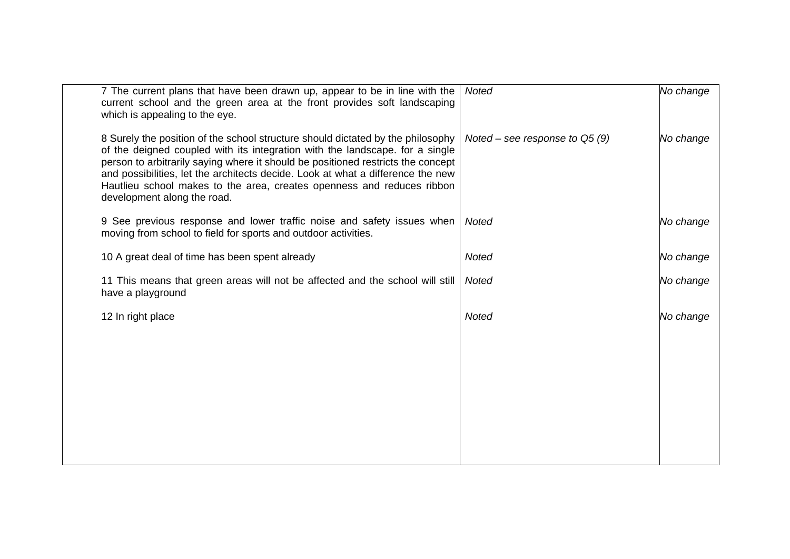| 7 The current plans that have been drawn up, appear to be in line with the<br>current school and the green area at the front provides soft landscaping<br>which is appealing to the eye.                                                                                                                                                                                                                                                        | <b>Noted</b>                    | No change |
|-------------------------------------------------------------------------------------------------------------------------------------------------------------------------------------------------------------------------------------------------------------------------------------------------------------------------------------------------------------------------------------------------------------------------------------------------|---------------------------------|-----------|
| 8 Surely the position of the school structure should dictated by the philosophy<br>of the deigned coupled with its integration with the landscape. for a single<br>person to arbitrarily saying where it should be positioned restricts the concept<br>and possibilities, let the architects decide. Look at what a difference the new<br>Hautlieu school makes to the area, creates openness and reduces ribbon<br>development along the road. | Noted – see response to $Q5(9)$ | No change |
| 9 See previous response and lower traffic noise and safety issues when<br>moving from school to field for sports and outdoor activities.                                                                                                                                                                                                                                                                                                        | <b>Noted</b>                    | No change |
| 10 A great deal of time has been spent already                                                                                                                                                                                                                                                                                                                                                                                                  | <b>Noted</b>                    | No change |
| 11 This means that green areas will not be affected and the school will still<br>have a playground                                                                                                                                                                                                                                                                                                                                              | <b>Noted</b>                    | No change |
| 12 In right place                                                                                                                                                                                                                                                                                                                                                                                                                               | <b>Noted</b>                    | No change |
|                                                                                                                                                                                                                                                                                                                                                                                                                                                 |                                 |           |
|                                                                                                                                                                                                                                                                                                                                                                                                                                                 |                                 |           |
|                                                                                                                                                                                                                                                                                                                                                                                                                                                 |                                 |           |
|                                                                                                                                                                                                                                                                                                                                                                                                                                                 |                                 |           |
|                                                                                                                                                                                                                                                                                                                                                                                                                                                 |                                 |           |
|                                                                                                                                                                                                                                                                                                                                                                                                                                                 |                                 |           |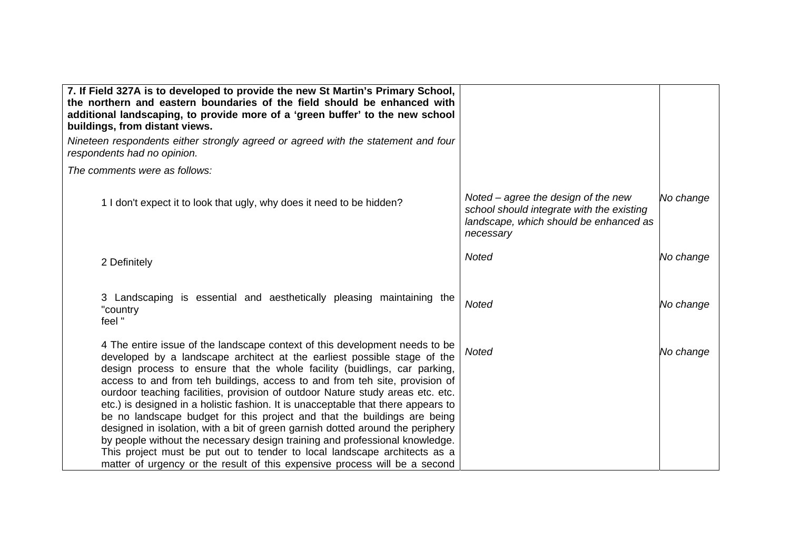| 7. If Field 327A is to developed to provide the new St Martin's Primary School,<br>the northern and eastern boundaries of the field should be enhanced with<br>additional landscaping, to provide more of a 'green buffer' to the new school<br>buildings, from distant views.                                                                                                                                                                                                                                                                                                                                                                                                                                                                                                                                                                                                                     |                                                                                                                                           |           |
|----------------------------------------------------------------------------------------------------------------------------------------------------------------------------------------------------------------------------------------------------------------------------------------------------------------------------------------------------------------------------------------------------------------------------------------------------------------------------------------------------------------------------------------------------------------------------------------------------------------------------------------------------------------------------------------------------------------------------------------------------------------------------------------------------------------------------------------------------------------------------------------------------|-------------------------------------------------------------------------------------------------------------------------------------------|-----------|
| Nineteen respondents either strongly agreed or agreed with the statement and four<br>respondents had no opinion.                                                                                                                                                                                                                                                                                                                                                                                                                                                                                                                                                                                                                                                                                                                                                                                   |                                                                                                                                           |           |
| The comments were as follows:                                                                                                                                                                                                                                                                                                                                                                                                                                                                                                                                                                                                                                                                                                                                                                                                                                                                      |                                                                                                                                           |           |
| 1 I don't expect it to look that ugly, why does it need to be hidden?                                                                                                                                                                                                                                                                                                                                                                                                                                                                                                                                                                                                                                                                                                                                                                                                                              | Noted $-$ agree the design of the new<br>school should integrate with the existing<br>landscape, which should be enhanced as<br>necessary | No change |
| 2 Definitely                                                                                                                                                                                                                                                                                                                                                                                                                                                                                                                                                                                                                                                                                                                                                                                                                                                                                       | <b>Noted</b>                                                                                                                              | No change |
| 3 Landscaping is essential and aesthetically pleasing maintaining the<br>"country<br>feel "                                                                                                                                                                                                                                                                                                                                                                                                                                                                                                                                                                                                                                                                                                                                                                                                        | <b>Noted</b>                                                                                                                              | No change |
| 4 The entire issue of the landscape context of this development needs to be<br>developed by a landscape architect at the earliest possible stage of the<br>design process to ensure that the whole facility (buidlings, car parking,<br>access to and from teh buildings, access to and from teh site, provision of<br>ourdoor teaching facilities, provision of outdoor Nature study areas etc. etc.<br>etc.) is designed in a holistic fashion. It is unacceptable that there appears to<br>be no landscape budget for this project and that the buildings are being<br>designed in isolation, with a bit of green garnish dotted around the periphery<br>by people without the necessary design training and professional knowledge.<br>This project must be put out to tender to local landscape architects as a<br>matter of urgency or the result of this expensive process will be a second | <b>Noted</b>                                                                                                                              | No change |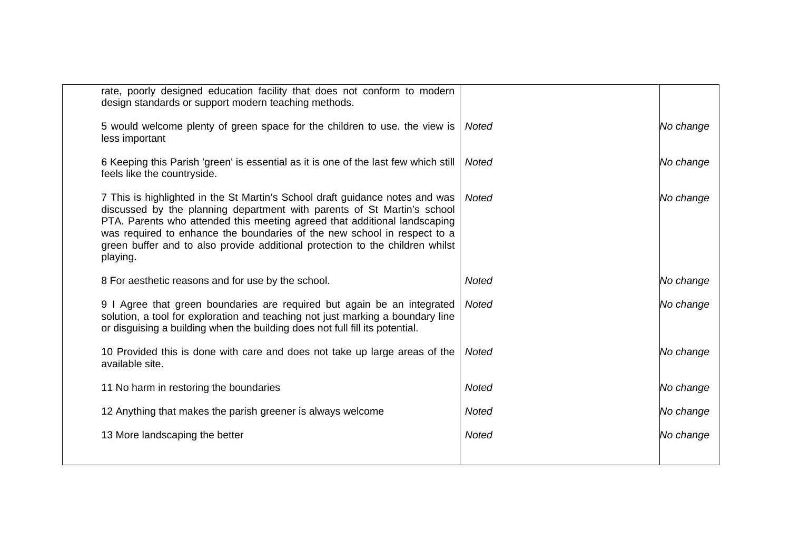| rate, poorly designed education facility that does not conform to modern<br>design standards or support modern teaching methods.                                                                                                                                                                                                                                                                              |              |           |
|---------------------------------------------------------------------------------------------------------------------------------------------------------------------------------------------------------------------------------------------------------------------------------------------------------------------------------------------------------------------------------------------------------------|--------------|-----------|
| 5 would welcome plenty of green space for the children to use. the view is<br>less important                                                                                                                                                                                                                                                                                                                  | Noted        | No change |
| 6 Keeping this Parish 'green' is essential as it is one of the last few which still<br>feels like the countryside.                                                                                                                                                                                                                                                                                            | <b>Noted</b> | No change |
| 7 This is highlighted in the St Martin's School draft guidance notes and was<br>discussed by the planning department with parents of St Martin's school<br>PTA. Parents who attended this meeting agreed that additional landscaping<br>was required to enhance the boundaries of the new school in respect to a<br>green buffer and to also provide additional protection to the children whilst<br>playing. | Noted        | No change |
| 8 For aesthetic reasons and for use by the school.                                                                                                                                                                                                                                                                                                                                                            | <b>Noted</b> | No change |
| 9 I Agree that green boundaries are required but again be an integrated<br>solution, a tool for exploration and teaching not just marking a boundary line<br>or disguising a building when the building does not full fill its potential.                                                                                                                                                                     | Noted        | No change |
| 10 Provided this is done with care and does not take up large areas of the<br>available site.                                                                                                                                                                                                                                                                                                                 | Noted        | No change |
| 11 No harm in restoring the boundaries                                                                                                                                                                                                                                                                                                                                                                        | <b>Noted</b> | No change |
| 12 Anything that makes the parish greener is always welcome                                                                                                                                                                                                                                                                                                                                                   | <b>Noted</b> | No change |
| 13 More landscaping the better                                                                                                                                                                                                                                                                                                                                                                                | <b>Noted</b> | No change |
|                                                                                                                                                                                                                                                                                                                                                                                                               |              |           |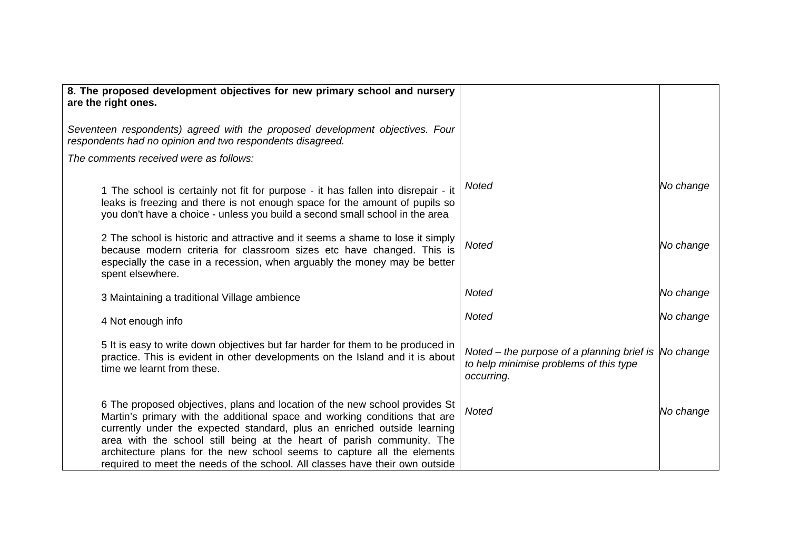| 8. The proposed development objectives for new primary school and nursery<br>are the right ones.                                                                                                                                                                                                                                                                                                                                                                           |                                                                                                               |           |
|----------------------------------------------------------------------------------------------------------------------------------------------------------------------------------------------------------------------------------------------------------------------------------------------------------------------------------------------------------------------------------------------------------------------------------------------------------------------------|---------------------------------------------------------------------------------------------------------------|-----------|
| Seventeen respondents) agreed with the proposed development objectives. Four<br>respondents had no opinion and two respondents disagreed.                                                                                                                                                                                                                                                                                                                                  |                                                                                                               |           |
| The comments received were as follows:                                                                                                                                                                                                                                                                                                                                                                                                                                     |                                                                                                               |           |
| 1 The school is certainly not fit for purpose - it has fallen into disrepair - it<br>leaks is freezing and there is not enough space for the amount of pupils so<br>you don't have a choice - unless you build a second small school in the area                                                                                                                                                                                                                           | <b>Noted</b>                                                                                                  | No change |
| 2 The school is historic and attractive and it seems a shame to lose it simply<br>because modern criteria for classroom sizes etc have changed. This is<br>especially the case in a recession, when arguably the money may be better<br>spent elsewhere.                                                                                                                                                                                                                   | <b>Noted</b>                                                                                                  | No change |
| 3 Maintaining a traditional Village ambience                                                                                                                                                                                                                                                                                                                                                                                                                               | <b>Noted</b>                                                                                                  | No change |
| 4 Not enough info                                                                                                                                                                                                                                                                                                                                                                                                                                                          | <b>Noted</b>                                                                                                  | No change |
| 5 It is easy to write down objectives but far harder for them to be produced in<br>practice. This is evident in other developments on the Island and it is about<br>time we learnt from these.                                                                                                                                                                                                                                                                             | Noted - the purpose of a planning brief is  No change<br>to help minimise problems of this type<br>occurring. |           |
| 6 The proposed objectives, plans and location of the new school provides St<br>Martin's primary with the additional space and working conditions that are<br>currently under the expected standard, plus an enriched outside learning<br>area with the school still being at the heart of parish community. The<br>architecture plans for the new school seems to capture all the elements<br>required to meet the needs of the school. All classes have their own outside | <b>Noted</b>                                                                                                  | No change |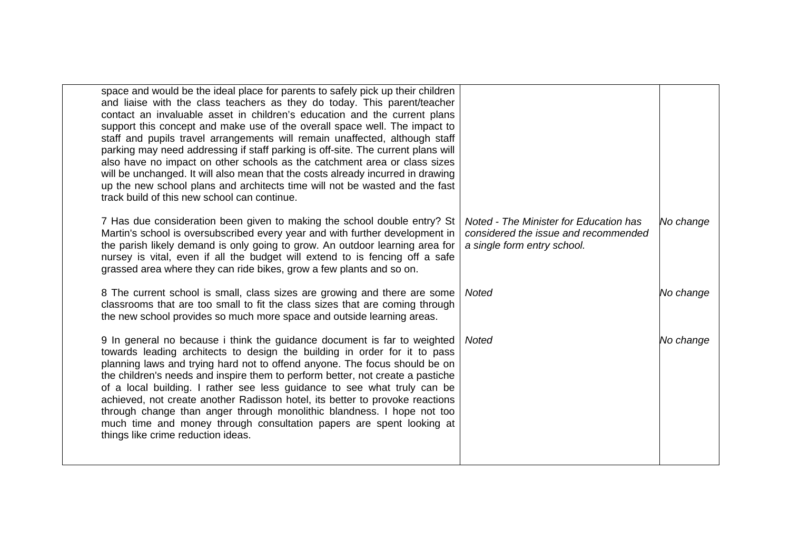| space and would be the ideal place for parents to safely pick up their children<br>and liaise with the class teachers as they do today. This parent/teacher<br>contact an invaluable asset in children's education and the current plans<br>support this concept and make use of the overall space well. The impact to<br>staff and pupils travel arrangements will remain unaffected, although staff<br>parking may need addressing if staff parking is off-site. The current plans will<br>also have no impact on other schools as the catchment area or class sizes<br>will be unchanged. It will also mean that the costs already incurred in drawing<br>up the new school plans and architects time will not be wasted and the fast<br>track build of this new school can continue. |                                                                                                               |           |
|------------------------------------------------------------------------------------------------------------------------------------------------------------------------------------------------------------------------------------------------------------------------------------------------------------------------------------------------------------------------------------------------------------------------------------------------------------------------------------------------------------------------------------------------------------------------------------------------------------------------------------------------------------------------------------------------------------------------------------------------------------------------------------------|---------------------------------------------------------------------------------------------------------------|-----------|
| 7 Has due consideration been given to making the school double entry? St<br>Martin's school is oversubscribed every year and with further development in<br>the parish likely demand is only going to grow. An outdoor learning area for<br>nursey is vital, even if all the budget will extend to is fencing off a safe<br>grassed area where they can ride bikes, grow a few plants and so on.                                                                                                                                                                                                                                                                                                                                                                                         | Noted - The Minister for Education has<br>considered the issue and recommended<br>a single form entry school. | No change |
| 8 The current school is small, class sizes are growing and there are some<br>classrooms that are too small to fit the class sizes that are coming through<br>the new school provides so much more space and outside learning areas.                                                                                                                                                                                                                                                                                                                                                                                                                                                                                                                                                      | <b>Noted</b>                                                                                                  | No change |
| 9 In general no because i think the guidance document is far to weighted<br>towards leading architects to design the building in order for it to pass<br>planning laws and trying hard not to offend anyone. The focus should be on<br>the children's needs and inspire them to perform better, not create a pastiche<br>of a local building. I rather see less guidance to see what truly can be<br>achieved, not create another Radisson hotel, its better to provoke reactions<br>through change than anger through monolithic blandness. I hope not too<br>much time and money through consultation papers are spent looking at<br>things like crime reduction ideas.                                                                                                                | <b>Noted</b>                                                                                                  | No change |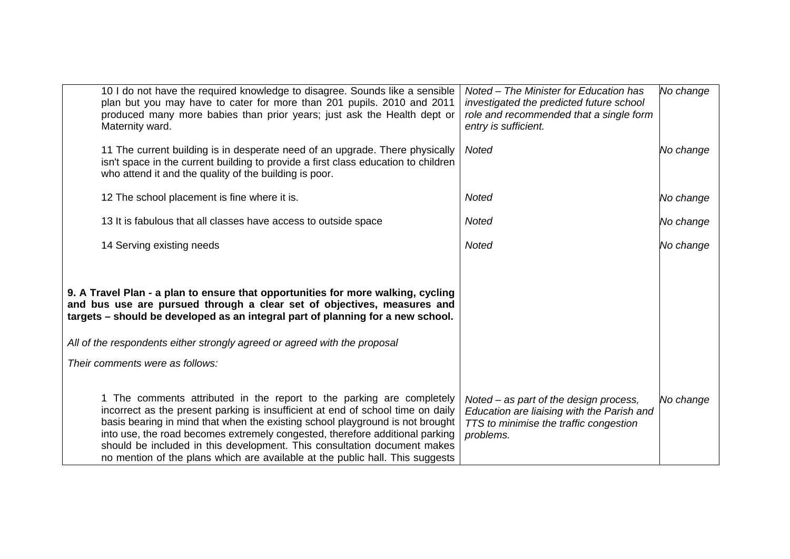| 10 I do not have the required knowledge to disagree. Sounds like a sensible<br>plan but you may have to cater for more than 201 pupils. 2010 and 2011<br>produced many more babies than prior years; just ask the Health dept or<br>Maternity ward.                                                                                                                                                                                                                                    | Noted - The Minister for Education has<br>investigated the predicted future school<br>role and recommended that a single form<br>entry is sufficient. | No change |
|----------------------------------------------------------------------------------------------------------------------------------------------------------------------------------------------------------------------------------------------------------------------------------------------------------------------------------------------------------------------------------------------------------------------------------------------------------------------------------------|-------------------------------------------------------------------------------------------------------------------------------------------------------|-----------|
| 11 The current building is in desperate need of an upgrade. There physically<br>isn't space in the current building to provide a first class education to children<br>who attend it and the quality of the building is poor.                                                                                                                                                                                                                                                           | <b>Noted</b>                                                                                                                                          | No change |
| 12 The school placement is fine where it is.                                                                                                                                                                                                                                                                                                                                                                                                                                           | Noted                                                                                                                                                 | No change |
| 13 It is fabulous that all classes have access to outside space                                                                                                                                                                                                                                                                                                                                                                                                                        | <b>Noted</b>                                                                                                                                          | No change |
| 14 Serving existing needs                                                                                                                                                                                                                                                                                                                                                                                                                                                              | Noted                                                                                                                                                 | No change |
| 9. A Travel Plan - a plan to ensure that opportunities for more walking, cycling<br>and bus use are pursued through a clear set of objectives, measures and<br>targets – should be developed as an integral part of planning for a new school.                                                                                                                                                                                                                                         |                                                                                                                                                       |           |
| All of the respondents either strongly agreed or agreed with the proposal<br>Their comments were as follows:                                                                                                                                                                                                                                                                                                                                                                           |                                                                                                                                                       |           |
|                                                                                                                                                                                                                                                                                                                                                                                                                                                                                        |                                                                                                                                                       |           |
| 1 The comments attributed in the report to the parking are completely<br>incorrect as the present parking is insufficient at end of school time on daily<br>basis bearing in mind that when the existing school playground is not brought<br>into use, the road becomes extremely congested, therefore additional parking<br>should be included in this development. This consultation document makes<br>no mention of the plans which are available at the public hall. This suggests | Noted – as part of the design process,<br>Education are liaising with the Parish and<br>TTS to minimise the traffic congestion<br>problems.           | No change |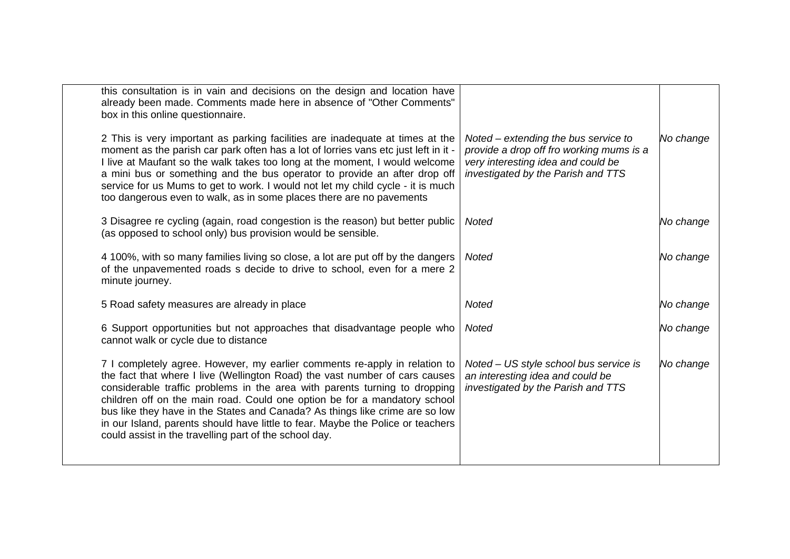| this consultation is in vain and decisions on the design and location have<br>already been made. Comments made here in absence of "Other Comments"<br>box in this online questionnaire.                                                                                                                                                                                                                                                                                                                                                           |                                                                                                                                                              |           |
|---------------------------------------------------------------------------------------------------------------------------------------------------------------------------------------------------------------------------------------------------------------------------------------------------------------------------------------------------------------------------------------------------------------------------------------------------------------------------------------------------------------------------------------------------|--------------------------------------------------------------------------------------------------------------------------------------------------------------|-----------|
| 2 This is very important as parking facilities are inadequate at times at the<br>moment as the parish car park often has a lot of lorries vans etc just left in it -<br>I live at Maufant so the walk takes too long at the moment, I would welcome<br>a mini bus or something and the bus operator to provide an after drop off<br>service for us Mums to get to work. I would not let my child cycle - it is much<br>too dangerous even to walk, as in some places there are no pavements                                                       | Noted – extending the bus service to<br>provide a drop off fro working mums is a<br>very interesting idea and could be<br>investigated by the Parish and TTS | No change |
| 3 Disagree re cycling (again, road congestion is the reason) but better public<br>(as opposed to school only) bus provision would be sensible.                                                                                                                                                                                                                                                                                                                                                                                                    | <b>Noted</b>                                                                                                                                                 | No change |
| 4 100%, with so many families living so close, a lot are put off by the dangers<br>of the unpavemented roads s decide to drive to school, even for a mere 2<br>minute journey.                                                                                                                                                                                                                                                                                                                                                                    | <b>Noted</b>                                                                                                                                                 | No change |
| 5 Road safety measures are already in place                                                                                                                                                                                                                                                                                                                                                                                                                                                                                                       | Noted                                                                                                                                                        | No change |
| 6 Support opportunities but not approaches that disadvantage people who<br>cannot walk or cycle due to distance                                                                                                                                                                                                                                                                                                                                                                                                                                   | Noted                                                                                                                                                        | No change |
| 7 I completely agree. However, my earlier comments re-apply in relation to<br>the fact that where I live (Wellington Road) the vast number of cars causes<br>considerable traffic problems in the area with parents turning to dropping<br>children off on the main road. Could one option be for a mandatory school<br>bus like they have in the States and Canada? As things like crime are so low<br>in our Island, parents should have little to fear. Maybe the Police or teachers<br>could assist in the travelling part of the school day. | Noted – US style school bus service is<br>an interesting idea and could be<br>investigated by the Parish and TTS                                             | No change |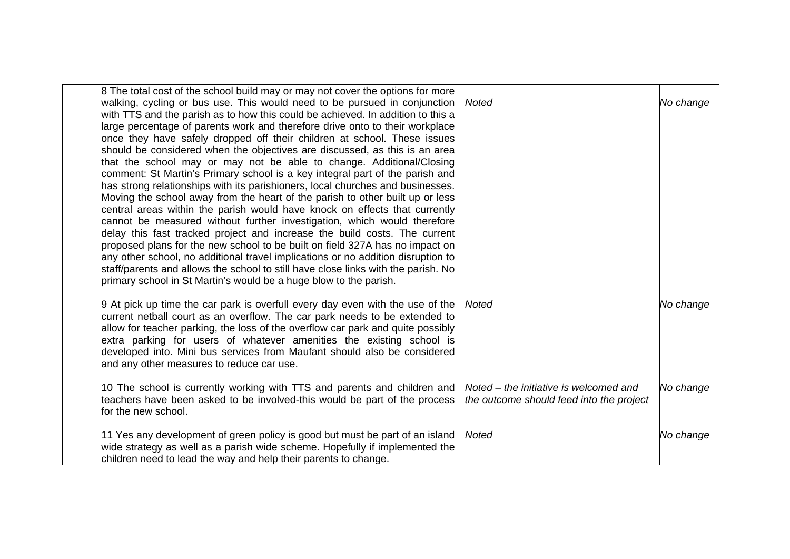| 8 The total cost of the school build may or may not cover the options for more<br>walking, cycling or bus use. This would need to be pursued in conjunction<br>with TTS and the parish as to how this could be achieved. In addition to this a<br>large percentage of parents work and therefore drive onto to their workplace<br>once they have safely dropped off their children at school. These issues<br>should be considered when the objectives are discussed, as this is an area<br>that the school may or may not be able to change. Additional/Closing<br>comment: St Martin's Primary school is a key integral part of the parish and<br>has strong relationships with its parishioners, local churches and businesses.<br>Moving the school away from the heart of the parish to other built up or less<br>central areas within the parish would have knock on effects that currently<br>cannot be measured without further investigation, which would therefore<br>delay this fast tracked project and increase the build costs. The current<br>proposed plans for the new school to be built on field 327A has no impact on<br>any other school, no additional travel implications or no addition disruption to<br>staff/parents and allows the school to still have close links with the parish. No<br>primary school in St Martin's would be a huge blow to the parish. | <b>Noted</b>                                                                       | No change |
|-----------------------------------------------------------------------------------------------------------------------------------------------------------------------------------------------------------------------------------------------------------------------------------------------------------------------------------------------------------------------------------------------------------------------------------------------------------------------------------------------------------------------------------------------------------------------------------------------------------------------------------------------------------------------------------------------------------------------------------------------------------------------------------------------------------------------------------------------------------------------------------------------------------------------------------------------------------------------------------------------------------------------------------------------------------------------------------------------------------------------------------------------------------------------------------------------------------------------------------------------------------------------------------------------------------------------------------------------------------------------------------------|------------------------------------------------------------------------------------|-----------|
| 9 At pick up time the car park is overfull every day even with the use of the<br>current netball court as an overflow. The car park needs to be extended to<br>allow for teacher parking, the loss of the overflow car park and quite possibly<br>extra parking for users of whatever amenities the existing school is<br>developed into. Mini bus services from Maufant should also be considered<br>and any other measures to reduce car use.                                                                                                                                                                                                                                                                                                                                                                                                                                                                                                                                                                                                                                                                                                                                                                                                                                                                                                                                         | Noted                                                                              | No change |
| 10 The school is currently working with TTS and parents and children and<br>teachers have been asked to be involved-this would be part of the process<br>for the new school.                                                                                                                                                                                                                                                                                                                                                                                                                                                                                                                                                                                                                                                                                                                                                                                                                                                                                                                                                                                                                                                                                                                                                                                                            | Noted – the initiative is welcomed and<br>the outcome should feed into the project | No change |
| 11 Yes any development of green policy is good but must be part of an island<br>wide strategy as well as a parish wide scheme. Hopefully if implemented the<br>children need to lead the way and help their parents to change.                                                                                                                                                                                                                                                                                                                                                                                                                                                                                                                                                                                                                                                                                                                                                                                                                                                                                                                                                                                                                                                                                                                                                          | <b>Noted</b>                                                                       | No change |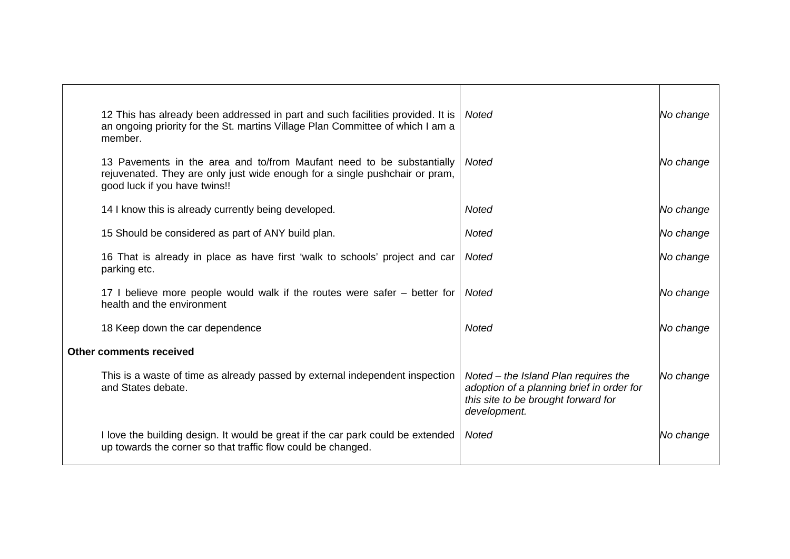| 12 This has already been addressed in part and such facilities provided. It is<br>an ongoing priority for the St. martins Village Plan Committee of which I am a<br>member.           | Noted                                                                                                                                    | No change |
|---------------------------------------------------------------------------------------------------------------------------------------------------------------------------------------|------------------------------------------------------------------------------------------------------------------------------------------|-----------|
| 13 Pavements in the area and to/from Maufant need to be substantially<br>rejuvenated. They are only just wide enough for a single pushchair or pram,<br>good luck if you have twins!! | Noted                                                                                                                                    | No change |
| 14 I know this is already currently being developed.                                                                                                                                  | Noted                                                                                                                                    | No change |
| 15 Should be considered as part of ANY build plan.                                                                                                                                    | <b>Noted</b>                                                                                                                             | No change |
| 16 That is already in place as have first 'walk to schools' project and car<br>parking etc.                                                                                           | Noted                                                                                                                                    | No change |
| 17 I believe more people would walk if the routes were safer – better for<br>health and the environment                                                                               | Noted                                                                                                                                    | No change |
| 18 Keep down the car dependence                                                                                                                                                       | Noted                                                                                                                                    | No change |
| <b>Other comments received</b>                                                                                                                                                        |                                                                                                                                          |           |
| This is a waste of time as already passed by external independent inspection<br>and States debate.                                                                                    | Noted – the Island Plan requires the<br>adoption of a planning brief in order for<br>this site to be brought forward for<br>development. | No change |
| I love the building design. It would be great if the car park could be extended<br>up towards the corner so that traffic flow could be changed.                                       | <b>Noted</b>                                                                                                                             | No change |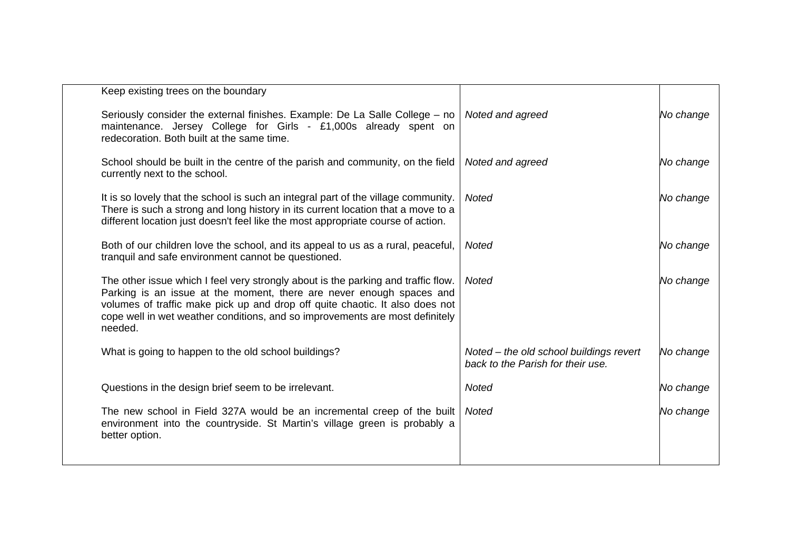| Keep existing trees on the boundary                                                                                                                                                                                                                                                                                                  |                                                                              |           |
|--------------------------------------------------------------------------------------------------------------------------------------------------------------------------------------------------------------------------------------------------------------------------------------------------------------------------------------|------------------------------------------------------------------------------|-----------|
| Seriously consider the external finishes. Example: De La Salle College – no<br>maintenance. Jersey College for Girls - £1,000s already spent on<br>redecoration. Both built at the same time.                                                                                                                                        | Noted and agreed                                                             | No change |
| School should be built in the centre of the parish and community, on the field<br>currently next to the school.                                                                                                                                                                                                                      | Noted and agreed                                                             | No change |
| It is so lovely that the school is such an integral part of the village community.<br>There is such a strong and long history in its current location that a move to a<br>different location just doesn't feel like the most appropriate course of action.                                                                           | <b>Noted</b>                                                                 | No change |
| Both of our children love the school, and its appeal to us as a rural, peaceful,<br>tranquil and safe environment cannot be questioned.                                                                                                                                                                                              | Noted                                                                        | No change |
| The other issue which I feel very strongly about is the parking and traffic flow.<br>Parking is an issue at the moment, there are never enough spaces and<br>volumes of traffic make pick up and drop off quite chaotic. It also does not<br>cope well in wet weather conditions, and so improvements are most definitely<br>needed. | Noted                                                                        | No change |
| What is going to happen to the old school buildings?                                                                                                                                                                                                                                                                                 | Noted - the old school buildings revert<br>back to the Parish for their use. | No change |
| Questions in the design brief seem to be irrelevant.                                                                                                                                                                                                                                                                                 | <b>Noted</b>                                                                 | No change |
| The new school in Field 327A would be an incremental creep of the built<br>environment into the countryside. St Martin's village green is probably a<br>better option.                                                                                                                                                               | <b>Noted</b>                                                                 | No change |
|                                                                                                                                                                                                                                                                                                                                      |                                                                              |           |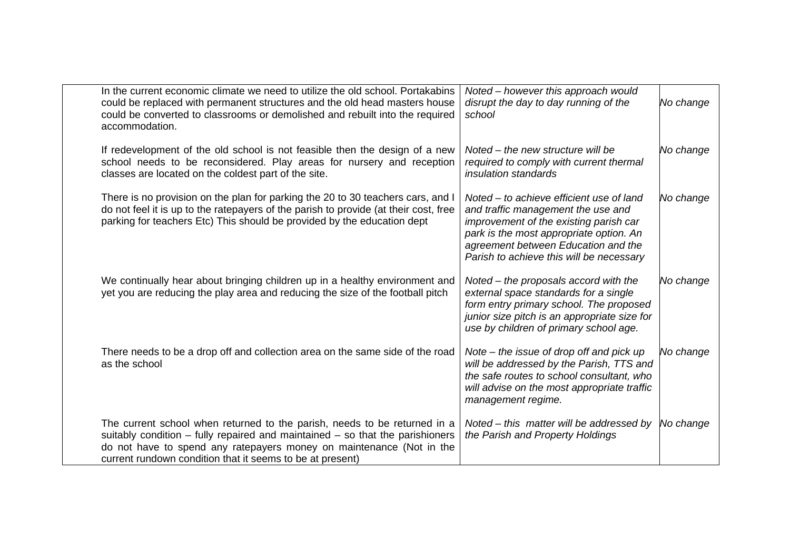| In the current economic climate we need to utilize the old school. Portakabins<br>could be replaced with permanent structures and the old head masters house<br>could be converted to classrooms or demolished and rebuilt into the required<br>accommodation.                                      | Noted – however this approach would<br>disrupt the day to day running of the<br>school                                                                                                                                                                 | No change |
|-----------------------------------------------------------------------------------------------------------------------------------------------------------------------------------------------------------------------------------------------------------------------------------------------------|--------------------------------------------------------------------------------------------------------------------------------------------------------------------------------------------------------------------------------------------------------|-----------|
| If redevelopment of the old school is not feasible then the design of a new<br>school needs to be reconsidered. Play areas for nursery and reception<br>classes are located on the coldest part of the site.                                                                                        | Noted – the new structure will be<br>required to comply with current thermal<br><i>insulation standards</i>                                                                                                                                            | No change |
| There is no provision on the plan for parking the 20 to 30 teachers cars, and I<br>do not feel it is up to the ratepayers of the parish to provide (at their cost, free<br>parking for teachers Etc) This should be provided by the education dept                                                  | Noted – to achieve efficient use of land<br>and traffic management the use and<br>improvement of the existing parish car<br>park is the most appropriate option. An<br>agreement between Education and the<br>Parish to achieve this will be necessary | No change |
| We continually hear about bringing children up in a healthy environment and<br>yet you are reducing the play area and reducing the size of the football pitch                                                                                                                                       | Noted – the proposals accord with the<br>external space standards for a single<br>form entry primary school. The proposed<br>junior size pitch is an appropriate size for<br>use by children of primary school age.                                    | No change |
| There needs to be a drop off and collection area on the same side of the road<br>as the school                                                                                                                                                                                                      | Note $-$ the issue of drop off and pick up<br>will be addressed by the Parish, TTS and<br>the safe routes to school consultant, who<br>will advise on the most appropriate traffic<br>management regime.                                               | No change |
| The current school when returned to the parish, needs to be returned in a<br>suitably condition $-$ fully repaired and maintained $-$ so that the parishioners<br>do not have to spend any ratepayers money on maintenance (Not in the<br>current rundown condition that it seems to be at present) | Noted – this matter will be addressed by<br>the Parish and Property Holdings                                                                                                                                                                           | No change |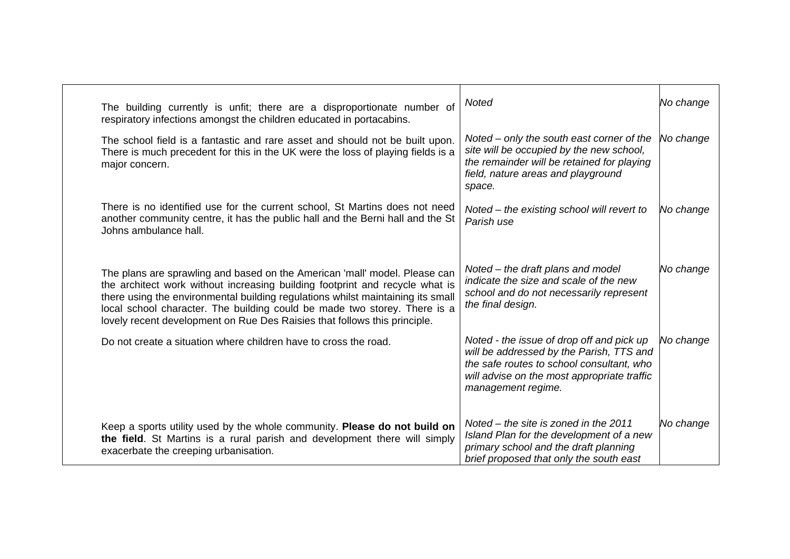| The building currently is unfit; there are a disproportionate number of<br>respiratory infections amongst the children educated in portacabins.                                                                                                                                                                                                                                                         | <b>Noted</b>                                                                                                                                                                                            | No change |
|---------------------------------------------------------------------------------------------------------------------------------------------------------------------------------------------------------------------------------------------------------------------------------------------------------------------------------------------------------------------------------------------------------|---------------------------------------------------------------------------------------------------------------------------------------------------------------------------------------------------------|-----------|
| The school field is a fantastic and rare asset and should not be built upon.<br>There is much precedent for this in the UK were the loss of playing fields is a<br>major concern.                                                                                                                                                                                                                       | Noted – only the south east corner of the<br>site will be occupied by the new school,<br>the remainder will be retained for playing<br>field, nature areas and playground<br>space.                     | No change |
| There is no identified use for the current school, St Martins does not need<br>another community centre, it has the public hall and the Berni hall and the St<br>Johns ambulance hall.                                                                                                                                                                                                                  | Noted – the existing school will revert to<br>Parish use                                                                                                                                                | No change |
| The plans are sprawling and based on the American 'mall' model. Please can<br>the architect work without increasing building footprint and recycle what is<br>there using the environmental building regulations whilst maintaining its small<br>local school character. The building could be made two storey. There is a<br>lovely recent development on Rue Des Raisies that follows this principle. | Noted – the draft plans and model<br>indicate the size and scale of the new<br>school and do not necessarily represent<br>the final design.                                                             | No change |
| Do not create a situation where children have to cross the road.                                                                                                                                                                                                                                                                                                                                        | Noted - the issue of drop off and pick up<br>will be addressed by the Parish, TTS and<br>the safe routes to school consultant, who<br>will advise on the most appropriate traffic<br>management regime. | No change |
| Keep a sports utility used by the whole community. Please do not build on<br>the field. St Martins is a rural parish and development there will simply<br>exacerbate the creeping urbanisation.                                                                                                                                                                                                         | Noted – the site is zoned in the 2011<br>Island Plan for the development of a new<br>primary school and the draft planning<br>brief proposed that only the south east                                   | No change |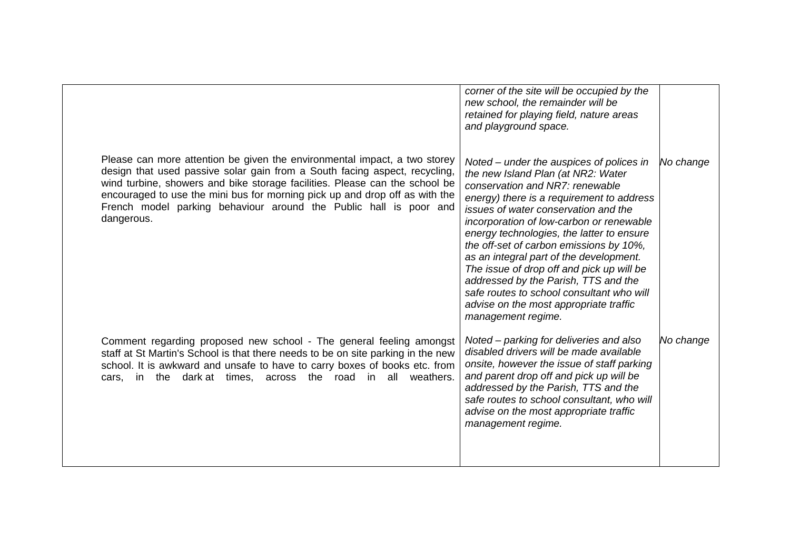|                                                                                                                                                                                                                                                                                                                                                                                                          | corner of the site will be occupied by the<br>new school, the remainder will be<br>retained for playing field, nature areas<br>and playground space.                                                                                                                                                                                                                                                                                                                                                                                                                                    |           |
|----------------------------------------------------------------------------------------------------------------------------------------------------------------------------------------------------------------------------------------------------------------------------------------------------------------------------------------------------------------------------------------------------------|-----------------------------------------------------------------------------------------------------------------------------------------------------------------------------------------------------------------------------------------------------------------------------------------------------------------------------------------------------------------------------------------------------------------------------------------------------------------------------------------------------------------------------------------------------------------------------------------|-----------|
| Please can more attention be given the environmental impact, a two storey<br>design that used passive solar gain from a South facing aspect, recycling,<br>wind turbine, showers and bike storage facilities. Please can the school be<br>encouraged to use the mini bus for morning pick up and drop off as with the<br>French model parking behaviour around the Public hall is poor and<br>dangerous. | Noted – under the auspices of polices in<br>the new Island Plan (at NR2: Water<br>conservation and NR7: renewable<br>energy) there is a requirement to address<br>issues of water conservation and the<br>incorporation of low-carbon or renewable<br>energy technologies, the latter to ensure<br>the off-set of carbon emissions by 10%,<br>as an integral part of the development.<br>The issue of drop off and pick up will be<br>addressed by the Parish, TTS and the<br>safe routes to school consultant who will<br>advise on the most appropriate traffic<br>management regime. | No change |
| Comment regarding proposed new school - The general feeling amongst<br>staff at St Martin's School is that there needs to be on site parking in the new<br>school. It is awkward and unsafe to have to carry boxes of books etc. from<br>cars, in the dark at times, across the road in all weathers.                                                                                                    | Noted – parking for deliveries and also<br>disabled drivers will be made available<br>onsite, however the issue of staff parking<br>and parent drop off and pick up will be<br>addressed by the Parish, TTS and the<br>safe routes to school consultant, who will<br>advise on the most appropriate traffic<br>management regime.                                                                                                                                                                                                                                                       | No change |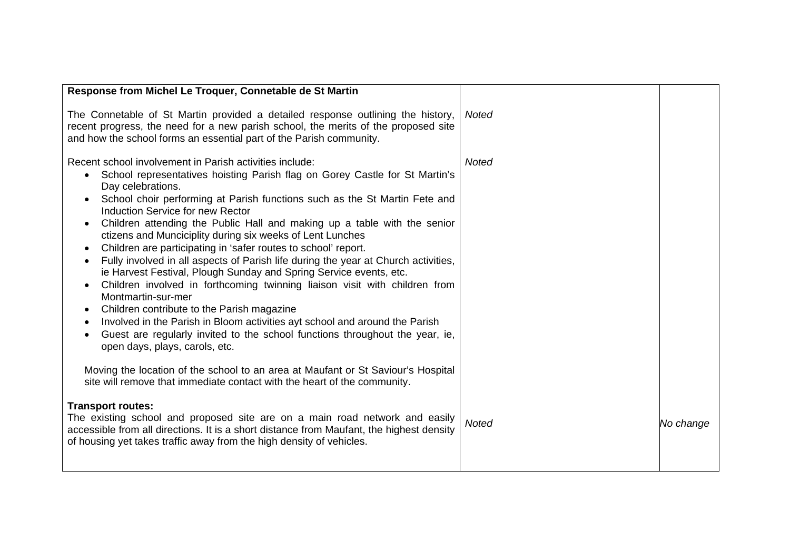| Response from Michel Le Troquer, Connetable de St Martin                                                                                                                                                                                                                                                                                                                                                                                                                                                                                                                                                                                                                                                                                                                                                                                                                                                                                                                                                                                                                                                                                                                                                                                 |              |           |
|------------------------------------------------------------------------------------------------------------------------------------------------------------------------------------------------------------------------------------------------------------------------------------------------------------------------------------------------------------------------------------------------------------------------------------------------------------------------------------------------------------------------------------------------------------------------------------------------------------------------------------------------------------------------------------------------------------------------------------------------------------------------------------------------------------------------------------------------------------------------------------------------------------------------------------------------------------------------------------------------------------------------------------------------------------------------------------------------------------------------------------------------------------------------------------------------------------------------------------------|--------------|-----------|
| The Connetable of St Martin provided a detailed response outlining the history,<br>recent progress, the need for a new parish school, the merits of the proposed site<br>and how the school forms an essential part of the Parish community.                                                                                                                                                                                                                                                                                                                                                                                                                                                                                                                                                                                                                                                                                                                                                                                                                                                                                                                                                                                             | <b>Noted</b> |           |
| Recent school involvement in Parish activities include:<br>School representatives hoisting Parish flag on Gorey Castle for St Martin's<br>$\bullet$<br>Day celebrations.<br>School choir performing at Parish functions such as the St Martin Fete and<br>Induction Service for new Rector<br>Children attending the Public Hall and making up a table with the senior<br>ctizens and Munciciplity during six weeks of Lent Lunches<br>Children are participating in 'safer routes to school' report.<br>$\bullet$<br>Fully involved in all aspects of Parish life during the year at Church activities,<br>ie Harvest Festival, Plough Sunday and Spring Service events, etc.<br>Children involved in forthcoming twinning liaison visit with children from<br>$\bullet$<br>Montmartin-sur-mer<br>Children contribute to the Parish magazine<br>$\bullet$<br>Involved in the Parish in Bloom activities ayt school and around the Parish<br>$\bullet$<br>Guest are regularly invited to the school functions throughout the year, ie,<br>open days, plays, carols, etc.<br>Moving the location of the school to an area at Maufant or St Saviour's Hospital<br>site will remove that immediate contact with the heart of the community. | <b>Noted</b> |           |
| <b>Transport routes:</b><br>The existing school and proposed site are on a main road network and easily<br>accessible from all directions. It is a short distance from Maufant, the highest density<br>of housing yet takes traffic away from the high density of vehicles.                                                                                                                                                                                                                                                                                                                                                                                                                                                                                                                                                                                                                                                                                                                                                                                                                                                                                                                                                              | <b>Noted</b> | No change |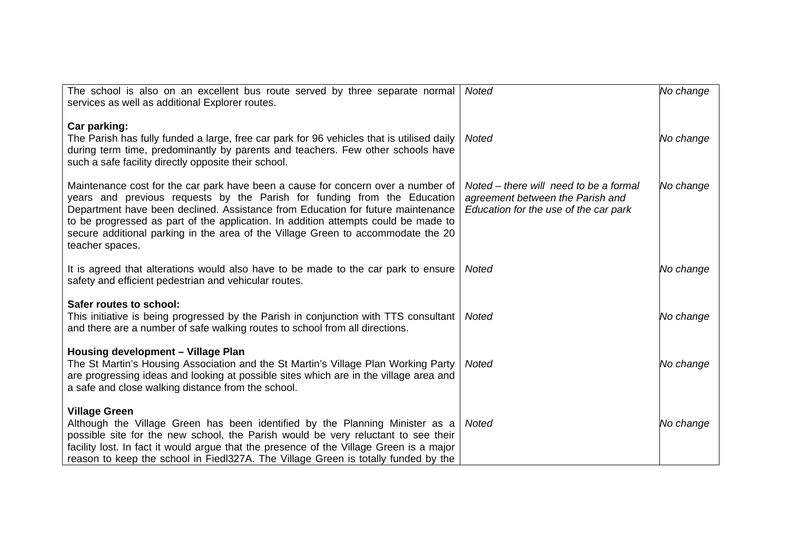| The school is also on an excellent bus route served by three separate normal<br>services as well as additional Explorer routes.                                                                                                                                                                                                                                                                                                              | <b>Noted</b>                                                                                                        | No change |
|----------------------------------------------------------------------------------------------------------------------------------------------------------------------------------------------------------------------------------------------------------------------------------------------------------------------------------------------------------------------------------------------------------------------------------------------|---------------------------------------------------------------------------------------------------------------------|-----------|
| Car parking:<br>The Parish has fully funded a large, free car park for 96 vehicles that is utilised daily<br>during term time, predominantly by parents and teachers. Few other schools have<br>such a safe facility directly opposite their school.                                                                                                                                                                                         | <b>Noted</b>                                                                                                        | No change |
| Maintenance cost for the car park have been a cause for concern over a number of<br>years and previous requests by the Parish for funding from the Education<br>Department have been declined. Assistance from Education for future maintenance<br>to be progressed as part of the application. In addition attempts could be made to<br>secure additional parking in the area of the Village Green to accommodate the 20<br>teacher spaces. | Noted – there will need to be a formal<br>agreement between the Parish and<br>Education for the use of the car park | No change |
| It is agreed that alterations would also have to be made to the car park to ensure<br>safety and efficient pedestrian and vehicular routes.                                                                                                                                                                                                                                                                                                  | <b>Noted</b>                                                                                                        | No change |
| Safer routes to school:<br>This initiative is being progressed by the Parish in conjunction with TTS consultant<br>and there are a number of safe walking routes to school from all directions.                                                                                                                                                                                                                                              | Noted                                                                                                               | No change |
| Housing development - Village Plan<br>The St Martin's Housing Association and the St Martin's Village Plan Working Party<br>are progressing ideas and looking at possible sites which are in the village area and<br>a safe and close walking distance from the school.                                                                                                                                                                      | <b>Noted</b>                                                                                                        | No change |
| <b>Village Green</b><br>Although the Village Green has been identified by the Planning Minister as a<br>possible site for the new school, the Parish would be very reluctant to see their<br>facility lost. In fact it would argue that the presence of the Village Green is a major<br>reason to keep the school in Fiedl327A. The Village Green is totally funded by the                                                                   | Noted                                                                                                               | No change |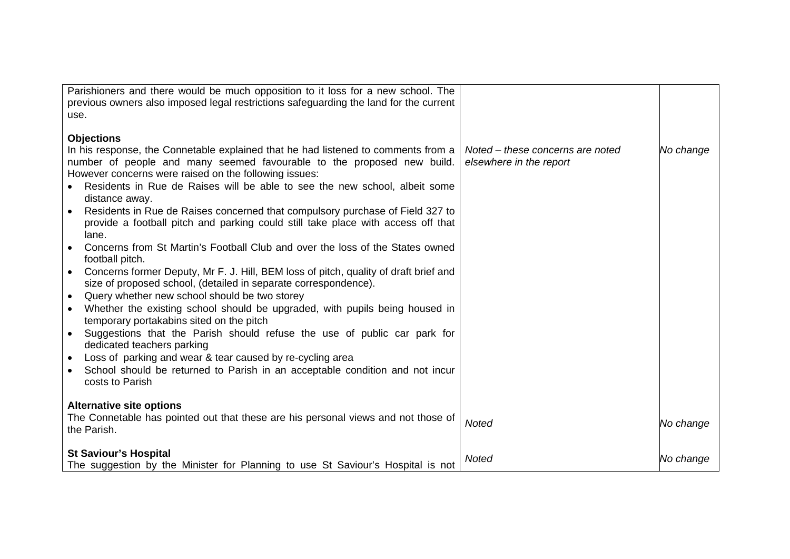| Parishioners and there would be much opposition to it loss for a new school. The                  |                                  |           |
|---------------------------------------------------------------------------------------------------|----------------------------------|-----------|
| previous owners also imposed legal restrictions safeguarding the land for the current             |                                  |           |
| use.                                                                                              |                                  |           |
|                                                                                                   |                                  |           |
| <b>Objections</b>                                                                                 |                                  |           |
| In his response, the Connetable explained that he had listened to comments from a                 | Noted – these concerns are noted | No change |
| number of people and many seemed favourable to the proposed new build.                            | elsewhere in the report          |           |
| However concerns were raised on the following issues:                                             |                                  |           |
| Residents in Rue de Raises will be able to see the new school, albeit some                        |                                  |           |
| distance away.                                                                                    |                                  |           |
| Residents in Rue de Raises concerned that compulsory purchase of Field 327 to                     |                                  |           |
| provide a football pitch and parking could still take place with access off that                  |                                  |           |
| lane.                                                                                             |                                  |           |
| Concerns from St Martin's Football Club and over the loss of the States owned                     |                                  |           |
| football pitch.                                                                                   |                                  |           |
| Concerns former Deputy, Mr F. J. Hill, BEM loss of pitch, quality of draft brief and<br>$\bullet$ |                                  |           |
| size of proposed school, (detailed in separate correspondence).                                   |                                  |           |
| Query whether new school should be two storey<br>$\bullet$                                        |                                  |           |
| Whether the existing school should be upgraded, with pupils being housed in<br>$\bullet$          |                                  |           |
| temporary portakabins sited on the pitch                                                          |                                  |           |
| Suggestions that the Parish should refuse the use of public car park for<br>$\bullet$             |                                  |           |
| dedicated teachers parking                                                                        |                                  |           |
| Loss of parking and wear & tear caused by re-cycling area                                         |                                  |           |
| $\bullet$<br>School should be returned to Parish in an acceptable condition and not incur         |                                  |           |
| costs to Parish                                                                                   |                                  |           |
|                                                                                                   |                                  |           |
| <b>Alternative site options</b>                                                                   |                                  |           |
| The Connetable has pointed out that these are his personal views and not those of                 |                                  |           |
| the Parish.                                                                                       | <b>Noted</b>                     | No change |
|                                                                                                   |                                  |           |
| <b>St Saviour's Hospital</b>                                                                      |                                  |           |
| The suggestion by the Minister for Planning to use St Saviour's Hospital is not                   | <b>Noted</b>                     | No change |
|                                                                                                   |                                  |           |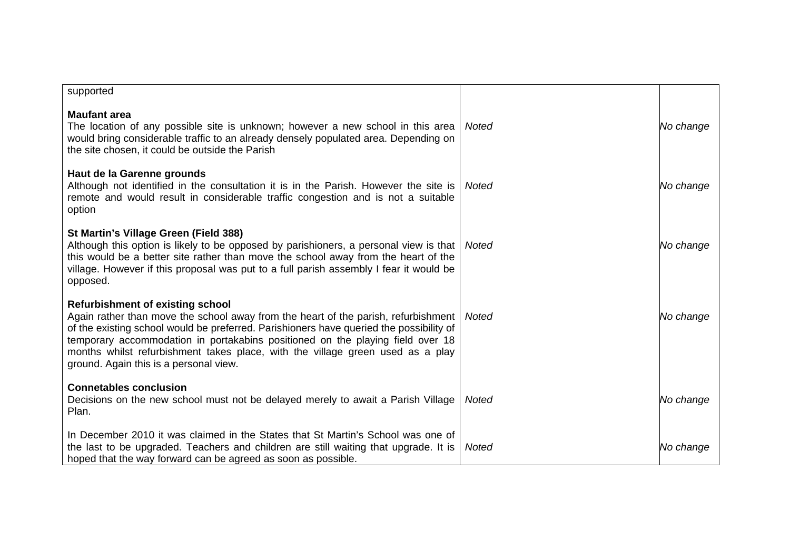| supported                                                                                                                                                                                                                                                                                                                                                                                                                              |              |           |
|----------------------------------------------------------------------------------------------------------------------------------------------------------------------------------------------------------------------------------------------------------------------------------------------------------------------------------------------------------------------------------------------------------------------------------------|--------------|-----------|
| <b>Maufant area</b><br>The location of any possible site is unknown; however a new school in this area<br>would bring considerable traffic to an already densely populated area. Depending on<br>the site chosen, it could be outside the Parish                                                                                                                                                                                       | <b>Noted</b> | No change |
| Haut de la Garenne grounds<br>Although not identified in the consultation it is in the Parish. However the site is<br>remote and would result in considerable traffic congestion and is not a suitable<br>option                                                                                                                                                                                                                       | <b>Noted</b> | No change |
| St Martin's Village Green (Field 388)<br>Although this option is likely to be opposed by parishioners, a personal view is that<br>this would be a better site rather than move the school away from the heart of the<br>village. However if this proposal was put to a full parish assembly I fear it would be<br>opposed.                                                                                                             | Noted        | No change |
| <b>Refurbishment of existing school</b><br>Again rather than move the school away from the heart of the parish, refurbishment<br>of the existing school would be preferred. Parishioners have queried the possibility of<br>temporary accommodation in portakabins positioned on the playing field over 18<br>months whilst refurbishment takes place, with the village green used as a play<br>ground. Again this is a personal view. | Noted        | No change |
| <b>Connetables conclusion</b><br>Decisions on the new school must not be delayed merely to await a Parish Village<br>Plan.                                                                                                                                                                                                                                                                                                             | <b>Noted</b> | No change |
| In December 2010 it was claimed in the States that St Martin's School was one of<br>the last to be upgraded. Teachers and children are still waiting that upgrade. It is<br>hoped that the way forward can be agreed as soon as possible.                                                                                                                                                                                              | <b>Noted</b> | No change |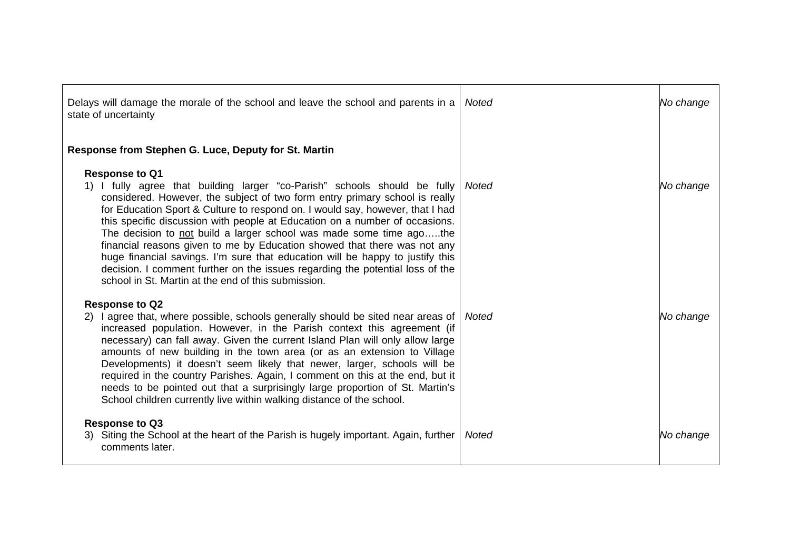| Delays will damage the morale of the school and leave the school and parents in a<br>state of uncertainty                                                                                                                                                                                                                                                                                                                                                                                                                                                                                                                                                                                                                     | <b>Noted</b> | No change |
|-------------------------------------------------------------------------------------------------------------------------------------------------------------------------------------------------------------------------------------------------------------------------------------------------------------------------------------------------------------------------------------------------------------------------------------------------------------------------------------------------------------------------------------------------------------------------------------------------------------------------------------------------------------------------------------------------------------------------------|--------------|-----------|
| Response from Stephen G. Luce, Deputy for St. Martin                                                                                                                                                                                                                                                                                                                                                                                                                                                                                                                                                                                                                                                                          |              |           |
| <b>Response to Q1</b><br>1) I fully agree that building larger "co-Parish" schools should be fully<br>considered. However, the subject of two form entry primary school is really<br>for Education Sport & Culture to respond on. I would say, however, that I had<br>this specific discussion with people at Education on a number of occasions.<br>The decision to not build a larger school was made some time agothe<br>financial reasons given to me by Education showed that there was not any<br>huge financial savings. I'm sure that education will be happy to justify this<br>decision. I comment further on the issues regarding the potential loss of the<br>school in St. Martin at the end of this submission. | Noted        | No change |
| <b>Response to Q2</b><br>2) l agree that, where possible, schools generally should be sited near areas of<br>increased population. However, in the Parish context this agreement (if<br>necessary) can fall away. Given the current Island Plan will only allow large<br>amounts of new building in the town area (or as an extension to Village<br>Developments) it doesn't seem likely that newer, larger, schools will be<br>required in the country Parishes. Again, I comment on this at the end, but it<br>needs to be pointed out that a surprisingly large proportion of St. Martin's<br>School children currently live within walking distance of the school.                                                        | Noted        | No change |
| <b>Response to Q3</b><br>3) Siting the School at the heart of the Parish is hugely important. Again, further<br>comments later.                                                                                                                                                                                                                                                                                                                                                                                                                                                                                                                                                                                               | Noted        | No change |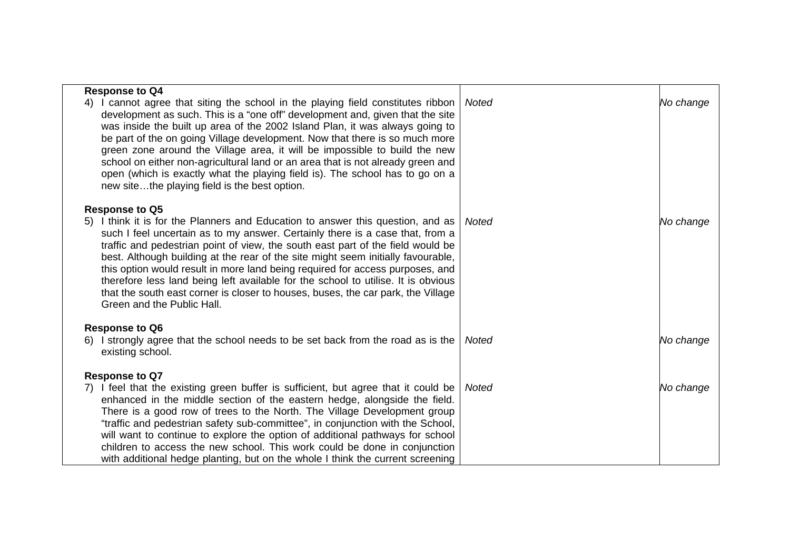| <b>Response to Q4</b><br>I cannot agree that siting the school in the playing field constitutes ribbon<br>development as such. This is a "one off" development and, given that the site<br>was inside the built up area of the 2002 Island Plan, it was always going to<br>be part of the on going Village development. Now that there is so much more<br>green zone around the Village area, it will be impossible to build the new<br>school on either non-agricultural land or an area that is not already green and<br>open (which is exactly what the playing field is). The school has to go on a                                                                                                   | Noted        | No change |
|-----------------------------------------------------------------------------------------------------------------------------------------------------------------------------------------------------------------------------------------------------------------------------------------------------------------------------------------------------------------------------------------------------------------------------------------------------------------------------------------------------------------------------------------------------------------------------------------------------------------------------------------------------------------------------------------------------------|--------------|-----------|
| new sitethe playing field is the best option.<br><b>Response to Q5</b><br>5) I think it is for the Planners and Education to answer this question, and as<br>such I feel uncertain as to my answer. Certainly there is a case that, from a<br>traffic and pedestrian point of view, the south east part of the field would be<br>best. Although building at the rear of the site might seem initially favourable,<br>this option would result in more land being required for access purposes, and<br>therefore less land being left available for the school to utilise. It is obvious<br>that the south east corner is closer to houses, buses, the car park, the Village<br>Green and the Public Hall. | <b>Noted</b> | No change |
| <b>Response to Q6</b><br>I strongly agree that the school needs to be set back from the road as is the<br>6)<br>existing school.                                                                                                                                                                                                                                                                                                                                                                                                                                                                                                                                                                          | <b>Noted</b> | No change |
| <b>Response to Q7</b><br>7) I feel that the existing green buffer is sufficient, but agree that it could be<br>enhanced in the middle section of the eastern hedge, alongside the field.<br>There is a good row of trees to the North. The Village Development group<br>"traffic and pedestrian safety sub-committee", in conjunction with the School,<br>will want to continue to explore the option of additional pathways for school<br>children to access the new school. This work could be done in conjunction<br>with additional hedge planting, but on the whole I think the current screening                                                                                                    | Noted        | No change |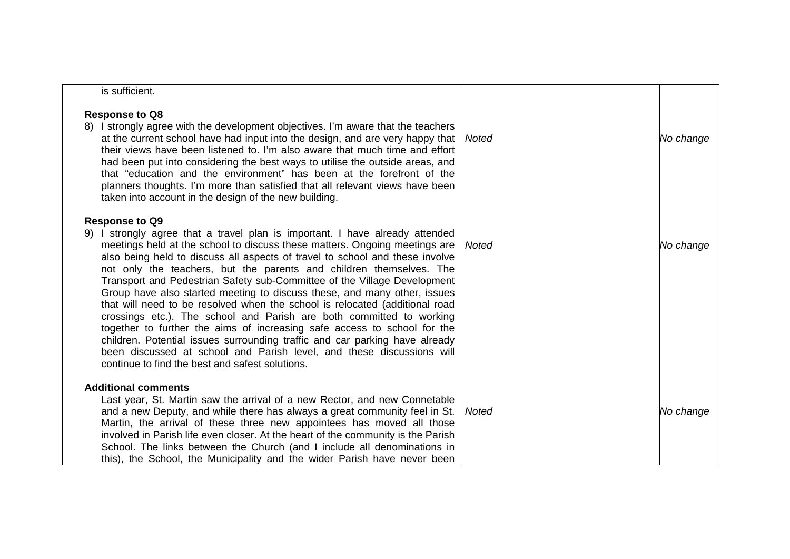| is sufficient.                                                                                                                                                                                                                                                                                                                                                                                                                                                                                                                                                                                                                                                                                                                                                                                                                                                                                                                                   |              |           |
|--------------------------------------------------------------------------------------------------------------------------------------------------------------------------------------------------------------------------------------------------------------------------------------------------------------------------------------------------------------------------------------------------------------------------------------------------------------------------------------------------------------------------------------------------------------------------------------------------------------------------------------------------------------------------------------------------------------------------------------------------------------------------------------------------------------------------------------------------------------------------------------------------------------------------------------------------|--------------|-----------|
| <b>Response to Q8</b><br>8) I strongly agree with the development objectives. I'm aware that the teachers<br>at the current school have had input into the design, and are very happy that<br>their views have been listened to. I'm also aware that much time and effort<br>had been put into considering the best ways to utilise the outside areas, and<br>that "education and the environment" has been at the forefront of the<br>planners thoughts. I'm more than satisfied that all relevant views have been<br>taken into account in the design of the new building.                                                                                                                                                                                                                                                                                                                                                                     | Noted        | No change |
| <b>Response to Q9</b><br>9) I strongly agree that a travel plan is important. I have already attended<br>meetings held at the school to discuss these matters. Ongoing meetings are<br>also being held to discuss all aspects of travel to school and these involve<br>not only the teachers, but the parents and children themselves. The<br>Transport and Pedestrian Safety sub-Committee of the Village Development<br>Group have also started meeting to discuss these, and many other, issues<br>that will need to be resolved when the school is relocated (additional road<br>crossings etc.). The school and Parish are both committed to working<br>together to further the aims of increasing safe access to school for the<br>children. Potential issues surrounding traffic and car parking have already<br>been discussed at school and Parish level, and these discussions will<br>continue to find the best and safest solutions. | Noted        | No change |
| <b>Additional comments</b><br>Last year, St. Martin saw the arrival of a new Rector, and new Connetable<br>and a new Deputy, and while there has always a great community feel in St.<br>Martin, the arrival of these three new appointees has moved all those<br>involved in Parish life even closer. At the heart of the community is the Parish<br>School. The links between the Church (and I include all denominations in<br>this), the School, the Municipality and the wider Parish have never been                                                                                                                                                                                                                                                                                                                                                                                                                                       | <b>Noted</b> | No change |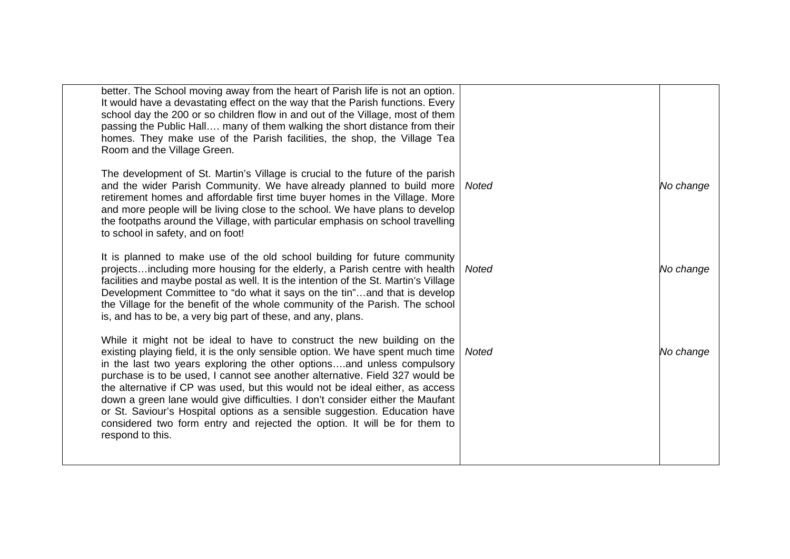| better. The School moving away from the heart of Parish life is not an option.<br>It would have a devastating effect on the way that the Parish functions. Every<br>school day the 200 or so children flow in and out of the Village, most of them<br>passing the Public Hall many of them walking the short distance from their<br>homes. They make use of the Parish facilities, the shop, the Village Tea<br>Room and the Village Green.                                                                                                                                                                                                                             |       |           |
|-------------------------------------------------------------------------------------------------------------------------------------------------------------------------------------------------------------------------------------------------------------------------------------------------------------------------------------------------------------------------------------------------------------------------------------------------------------------------------------------------------------------------------------------------------------------------------------------------------------------------------------------------------------------------|-------|-----------|
| The development of St. Martin's Village is crucial to the future of the parish<br>and the wider Parish Community. We have already planned to build more<br>retirement homes and affordable first time buyer homes in the Village. More<br>and more people will be living close to the school. We have plans to develop<br>the footpaths around the Village, with particular emphasis on school travelling<br>to school in safety, and on foot!                                                                                                                                                                                                                          | Noted | No change |
| It is planned to make use of the old school building for future community<br>projectsincluding more housing for the elderly, a Parish centre with health<br>facilities and maybe postal as well. It is the intention of the St. Martin's Village<br>Development Committee to "do what it says on the tin"and that is develop<br>the Village for the benefit of the whole community of the Parish. The school<br>is, and has to be, a very big part of these, and any, plans.                                                                                                                                                                                            | Noted | No change |
| While it might not be ideal to have to construct the new building on the<br>existing playing field, it is the only sensible option. We have spent much time<br>in the last two years exploring the other optionsand unless compulsory<br>purchase is to be used, I cannot see another alternative. Field 327 would be<br>the alternative if CP was used, but this would not be ideal either, as access<br>down a green lane would give difficulties. I don't consider either the Maufant<br>or St. Saviour's Hospital options as a sensible suggestion. Education have<br>considered two form entry and rejected the option. It will be for them to<br>respond to this. | Noted | No change |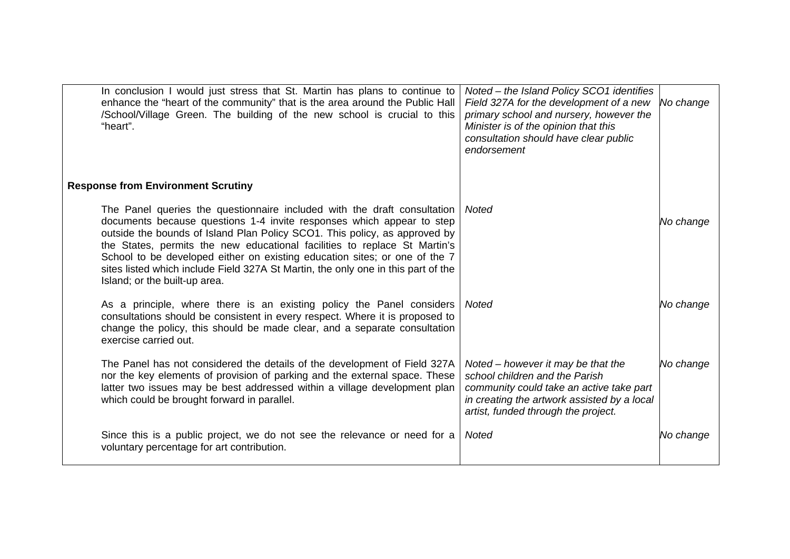| In conclusion I would just stress that St. Martin has plans to continue to<br>enhance the "heart of the community" that is the area around the Public Hall<br>/School/Village Green. The building of the new school is crucial to this<br>"heart".                                                                                                                                                                                                                                                               | Noted - the Island Policy SCO1 identifies<br>Field 327A for the development of a new<br>primary school and nursery, however the<br>Minister is of the opinion that this<br>consultation should have clear public<br>endorsement | No change |
|------------------------------------------------------------------------------------------------------------------------------------------------------------------------------------------------------------------------------------------------------------------------------------------------------------------------------------------------------------------------------------------------------------------------------------------------------------------------------------------------------------------|---------------------------------------------------------------------------------------------------------------------------------------------------------------------------------------------------------------------------------|-----------|
| <b>Response from Environment Scrutiny</b>                                                                                                                                                                                                                                                                                                                                                                                                                                                                        |                                                                                                                                                                                                                                 |           |
| The Panel queries the questionnaire included with the draft consultation<br>documents because questions 1-4 invite responses which appear to step<br>outside the bounds of Island Plan Policy SCO1. This policy, as approved by<br>the States, permits the new educational facilities to replace St Martin's<br>School to be developed either on existing education sites; or one of the 7<br>sites listed which include Field 327A St Martin, the only one in this part of the<br>Island; or the built-up area. | Noted                                                                                                                                                                                                                           | No change |
| As a principle, where there is an existing policy the Panel considers<br>consultations should be consistent in every respect. Where it is proposed to<br>change the policy, this should be made clear, and a separate consultation<br>exercise carried out.                                                                                                                                                                                                                                                      | <b>Noted</b>                                                                                                                                                                                                                    | No change |
| The Panel has not considered the details of the development of Field 327A<br>nor the key elements of provision of parking and the external space. These<br>latter two issues may be best addressed within a village development plan<br>which could be brought forward in parallel.                                                                                                                                                                                                                              | Noted – however it may be that the<br>school children and the Parish<br>community could take an active take part<br>in creating the artwork assisted by a local<br>artist, funded through the project.                          | No change |
| Since this is a public project, we do not see the relevance or need for a<br>voluntary percentage for art contribution.                                                                                                                                                                                                                                                                                                                                                                                          | <b>Noted</b>                                                                                                                                                                                                                    | No change |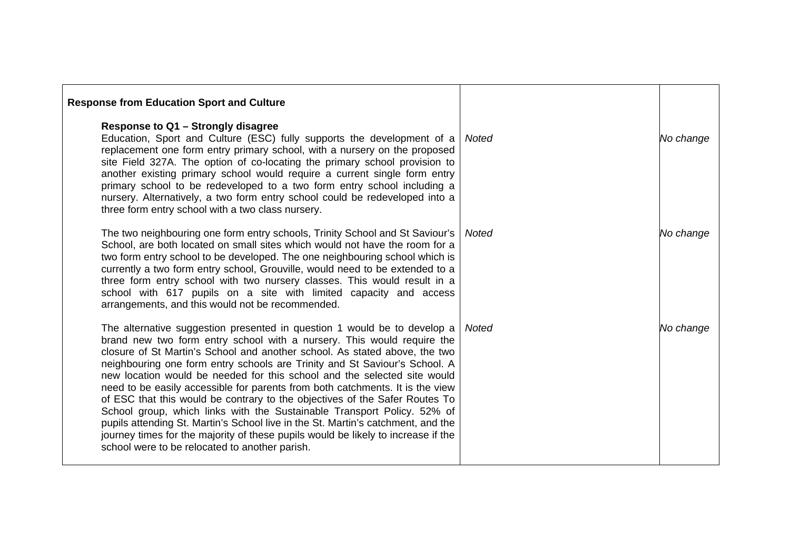| <b>Response from Education Sport and Culture</b>                                                                                                                                                                                                                                                                                                                                                                                                                                                                                                                                                                                                                                                                                                                                                                                                                 |       |           |
|------------------------------------------------------------------------------------------------------------------------------------------------------------------------------------------------------------------------------------------------------------------------------------------------------------------------------------------------------------------------------------------------------------------------------------------------------------------------------------------------------------------------------------------------------------------------------------------------------------------------------------------------------------------------------------------------------------------------------------------------------------------------------------------------------------------------------------------------------------------|-------|-----------|
| Response to Q1 - Strongly disagree<br>Education, Sport and Culture (ESC) fully supports the development of a<br>replacement one form entry primary school, with a nursery on the proposed<br>site Field 327A. The option of co-locating the primary school provision to<br>another existing primary school would require a current single form entry<br>primary school to be redeveloped to a two form entry school including a<br>nursery. Alternatively, a two form entry school could be redeveloped into a<br>three form entry school with a two class nursery.                                                                                                                                                                                                                                                                                              | Noted | No change |
| The two neighbouring one form entry schools, Trinity School and St Saviour's<br>School, are both located on small sites which would not have the room for a<br>two form entry school to be developed. The one neighbouring school which is<br>currently a two form entry school, Grouville, would need to be extended to a<br>three form entry school with two nursery classes. This would result in a<br>school with 617 pupils on a site with limited capacity and access<br>arrangements, and this would not be recommended.                                                                                                                                                                                                                                                                                                                                  | Noted | No change |
| The alternative suggestion presented in question 1 would be to develop a<br>brand new two form entry school with a nursery. This would require the<br>closure of St Martin's School and another school. As stated above, the two<br>neighbouring one form entry schools are Trinity and St Saviour's School. A<br>new location would be needed for this school and the selected site would<br>need to be easily accessible for parents from both catchments. It is the view<br>of ESC that this would be contrary to the objectives of the Safer Routes To<br>School group, which links with the Sustainable Transport Policy. 52% of<br>pupils attending St. Martin's School live in the St. Martin's catchment, and the<br>journey times for the majority of these pupils would be likely to increase if the<br>school were to be relocated to another parish. | Noted | No change |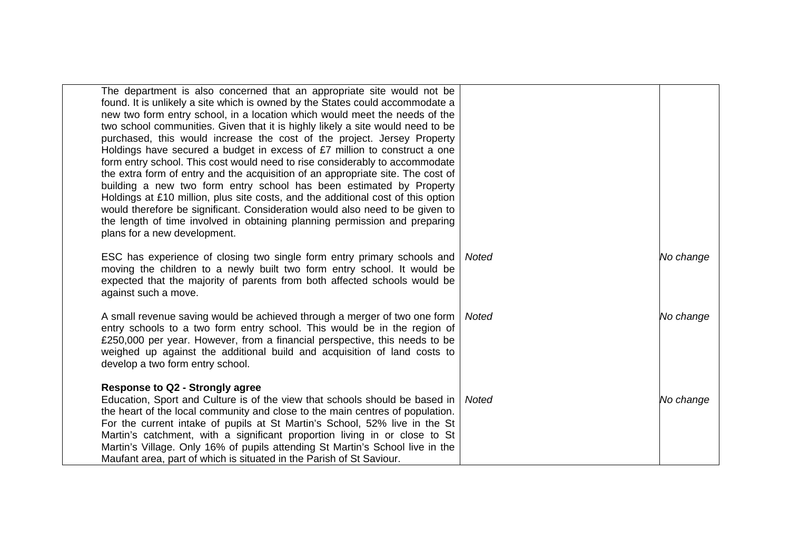| The department is also concerned that an appropriate site would not be<br>found. It is unlikely a site which is owned by the States could accommodate a<br>new two form entry school, in a location which would meet the needs of the<br>two school communities. Given that it is highly likely a site would need to be<br>purchased, this would increase the cost of the project. Jersey Property<br>Holdings have secured a budget in excess of £7 million to construct a one<br>form entry school. This cost would need to rise considerably to accommodate<br>the extra form of entry and the acquisition of an appropriate site. The cost of<br>building a new two form entry school has been estimated by Property<br>Holdings at £10 million, plus site costs, and the additional cost of this option<br>would therefore be significant. Consideration would also need to be given to<br>the length of time involved in obtaining planning permission and preparing<br>plans for a new development. |              |           |
|------------------------------------------------------------------------------------------------------------------------------------------------------------------------------------------------------------------------------------------------------------------------------------------------------------------------------------------------------------------------------------------------------------------------------------------------------------------------------------------------------------------------------------------------------------------------------------------------------------------------------------------------------------------------------------------------------------------------------------------------------------------------------------------------------------------------------------------------------------------------------------------------------------------------------------------------------------------------------------------------------------|--------------|-----------|
| ESC has experience of closing two single form entry primary schools and<br>moving the children to a newly built two form entry school. It would be<br>expected that the majority of parents from both affected schools would be<br>against such a move.                                                                                                                                                                                                                                                                                                                                                                                                                                                                                                                                                                                                                                                                                                                                                    | <b>Noted</b> | No change |
| A small revenue saving would be achieved through a merger of two one form<br>entry schools to a two form entry school. This would be in the region of<br>£250,000 per year. However, from a financial perspective, this needs to be<br>weighed up against the additional build and acquisition of land costs to<br>develop a two form entry school.                                                                                                                                                                                                                                                                                                                                                                                                                                                                                                                                                                                                                                                        | Noted        | No change |
| <b>Response to Q2 - Strongly agree</b><br>Education, Sport and Culture is of the view that schools should be based in<br>the heart of the local community and close to the main centres of population.<br>For the current intake of pupils at St Martin's School, 52% live in the St<br>Martin's catchment, with a significant proportion living in or close to St<br>Martin's Village. Only 16% of pupils attending St Martin's School live in the<br>Maufant area, part of which is situated in the Parish of St Saviour.                                                                                                                                                                                                                                                                                                                                                                                                                                                                                | Noted        | No change |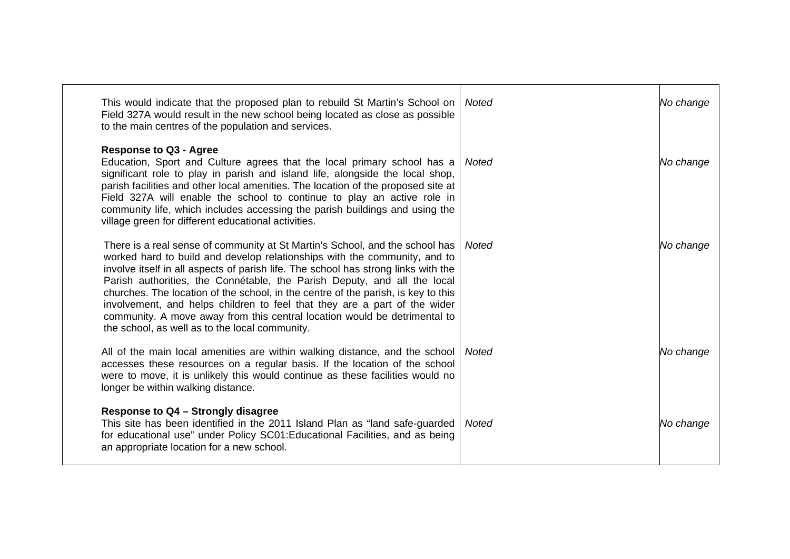| This would indicate that the proposed plan to rebuild St Martin's School on<br>Field 327A would result in the new school being located as close as possible<br>to the main centres of the population and services.                                                                                                                                                                                                                                                                                                                                                                                                           | Noted | No change |
|------------------------------------------------------------------------------------------------------------------------------------------------------------------------------------------------------------------------------------------------------------------------------------------------------------------------------------------------------------------------------------------------------------------------------------------------------------------------------------------------------------------------------------------------------------------------------------------------------------------------------|-------|-----------|
| <b>Response to Q3 - Agree</b><br>Education, Sport and Culture agrees that the local primary school has a<br>significant role to play in parish and island life, alongside the local shop,<br>parish facilities and other local amenities. The location of the proposed site at<br>Field 327A will enable the school to continue to play an active role in<br>community life, which includes accessing the parish buildings and using the<br>village green for different educational activities.                                                                                                                              | Noted | No change |
| There is a real sense of community at St Martin's School, and the school has<br>worked hard to build and develop relationships with the community, and to<br>involve itself in all aspects of parish life. The school has strong links with the<br>Parish authorities, the Connétable, the Parish Deputy, and all the local<br>churches. The location of the school, in the centre of the parish, is key to this<br>involvement, and helps children to feel that they are a part of the wider<br>community. A move away from this central location would be detrimental to<br>the school, as well as to the local community. | Noted | No change |
| All of the main local amenities are within walking distance, and the school<br>accesses these resources on a regular basis. If the location of the school<br>were to move, it is unlikely this would continue as these facilities would no<br>longer be within walking distance.                                                                                                                                                                                                                                                                                                                                             | Noted | No change |
| Response to Q4 - Strongly disagree<br>This site has been identified in the 2011 Island Plan as "land safe-guarded<br>for educational use" under Policy SC01: Educational Facilities, and as being<br>an appropriate location for a new school.                                                                                                                                                                                                                                                                                                                                                                               | Noted | No change |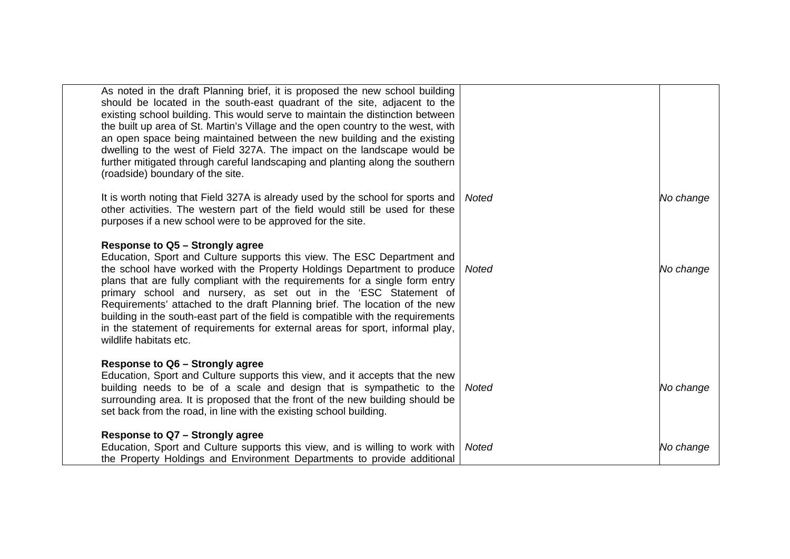| As noted in the draft Planning brief, it is proposed the new school building<br>should be located in the south-east quadrant of the site, adjacent to the<br>existing school building. This would serve to maintain the distinction between<br>the built up area of St. Martin's Village and the open country to the west, with<br>an open space being maintained between the new building and the existing<br>dwelling to the west of Field 327A. The impact on the landscape would be<br>further mitigated through careful landscaping and planting along the southern<br>(roadside) boundary of the site.                  |              |           |
|-------------------------------------------------------------------------------------------------------------------------------------------------------------------------------------------------------------------------------------------------------------------------------------------------------------------------------------------------------------------------------------------------------------------------------------------------------------------------------------------------------------------------------------------------------------------------------------------------------------------------------|--------------|-----------|
| It is worth noting that Field 327A is already used by the school for sports and<br>other activities. The western part of the field would still be used for these<br>purposes if a new school were to be approved for the site.                                                                                                                                                                                                                                                                                                                                                                                                | <b>Noted</b> | No change |
| <b>Response to Q5 - Strongly agree</b><br>Education, Sport and Culture supports this view. The ESC Department and<br>the school have worked with the Property Holdings Department to produce<br>plans that are fully compliant with the requirements for a single form entry<br>primary school and nursery, as set out in the 'ESC Statement of<br>Requirements' attached to the draft Planning brief. The location of the new<br>building in the south-east part of the field is compatible with the requirements<br>in the statement of requirements for external areas for sport, informal play,<br>wildlife habitats etc. | <b>Noted</b> | No change |
| Response to Q6 - Strongly agree<br>Education, Sport and Culture supports this view, and it accepts that the new<br>building needs to be of a scale and design that is sympathetic to the<br>surrounding area. It is proposed that the front of the new building should be<br>set back from the road, in line with the existing school building.                                                                                                                                                                                                                                                                               | Noted        | No change |
| Response to Q7 - Strongly agree<br>Education, Sport and Culture supports this view, and is willing to work with<br>the Property Holdings and Environment Departments to provide additional                                                                                                                                                                                                                                                                                                                                                                                                                                    | <b>Noted</b> | No change |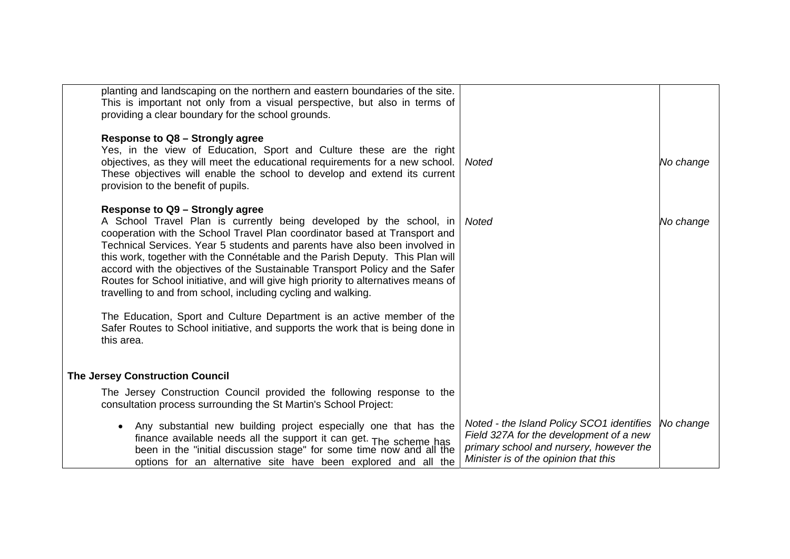| providing a clear boundary for the school grounds.                                                             | planting and landscaping on the northern and eastern boundaries of the site.<br>This is important not only from a visual perspective, but also in terms of                                                                                                                                                                                                                                                                                                                                                                                                                                                                                         |                                                                                                                                                                         |           |
|----------------------------------------------------------------------------------------------------------------|----------------------------------------------------------------------------------------------------------------------------------------------------------------------------------------------------------------------------------------------------------------------------------------------------------------------------------------------------------------------------------------------------------------------------------------------------------------------------------------------------------------------------------------------------------------------------------------------------------------------------------------------------|-------------------------------------------------------------------------------------------------------------------------------------------------------------------------|-----------|
| <b>Response to Q8 - Strongly agree</b><br>provision to the benefit of pupils.                                  | Yes, in the view of Education, Sport and Culture these are the right<br>objectives, as they will meet the educational requirements for a new school.<br>These objectives will enable the school to develop and extend its current                                                                                                                                                                                                                                                                                                                                                                                                                  | Noted                                                                                                                                                                   | No change |
| Response to Q9 - Strongly agree<br>travelling to and from school, including cycling and walking.<br>this area. | A School Travel Plan is currently being developed by the school, in<br>cooperation with the School Travel Plan coordinator based at Transport and<br>Technical Services. Year 5 students and parents have also been involved in<br>this work, together with the Connétable and the Parish Deputy. This Plan will<br>accord with the objectives of the Sustainable Transport Policy and the Safer<br>Routes for School initiative, and will give high priority to alternatives means of<br>The Education, Sport and Culture Department is an active member of the<br>Safer Routes to School initiative, and supports the work that is being done in | <b>Noted</b>                                                                                                                                                            | No change |
| <b>The Jersey Construction Council</b>                                                                         |                                                                                                                                                                                                                                                                                                                                                                                                                                                                                                                                                                                                                                                    |                                                                                                                                                                         |           |
| consultation process surrounding the St Martin's School Project:                                               | The Jersey Construction Council provided the following response to the                                                                                                                                                                                                                                                                                                                                                                                                                                                                                                                                                                             |                                                                                                                                                                         |           |
|                                                                                                                | Any substantial new building project especially one that has the<br>finance available needs all the support it can get. The scheme has been in the "initial discussion stage" for some time now and all the<br>options for an alternative site have been explored and all the                                                                                                                                                                                                                                                                                                                                                                      | Noted - the Island Policy SCO1 identifies<br>Field 327A for the development of a new<br>primary school and nursery, however the<br>Minister is of the opinion that this | No change |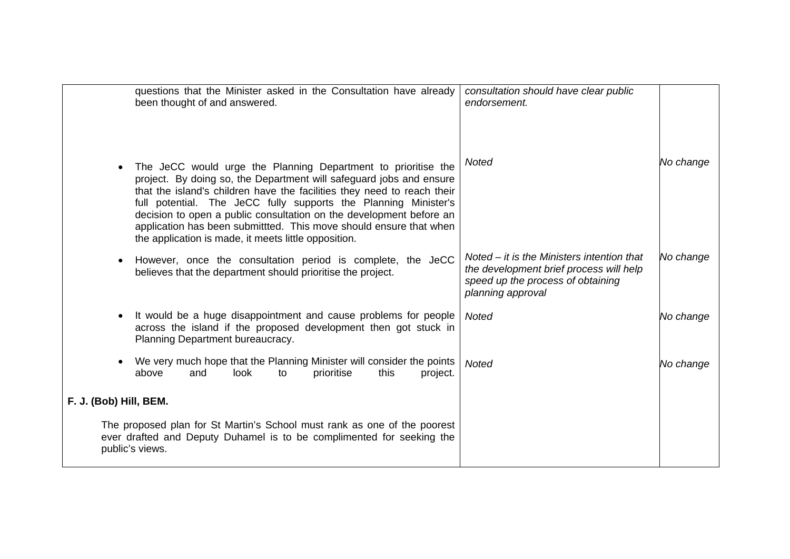| questions that the Minister asked in the Consultation have already<br>been thought of and answered.                                                                                                                                                                                                                                                                                                                                                                                                  | consultation should have clear public<br>endorsement.                                                                                             |           |
|------------------------------------------------------------------------------------------------------------------------------------------------------------------------------------------------------------------------------------------------------------------------------------------------------------------------------------------------------------------------------------------------------------------------------------------------------------------------------------------------------|---------------------------------------------------------------------------------------------------------------------------------------------------|-----------|
| The JeCC would urge the Planning Department to prioritise the<br>$\bullet$<br>project. By doing so, the Department will safeguard jobs and ensure<br>that the island's children have the facilities they need to reach their<br>full potential. The JeCC fully supports the Planning Minister's<br>decision to open a public consultation on the development before an<br>application has been submittted. This move should ensure that when<br>the application is made, it meets little opposition. | <b>Noted</b>                                                                                                                                      | No change |
| However, once the consultation period is complete, the JeCC<br>believes that the department should prioritise the project.                                                                                                                                                                                                                                                                                                                                                                           | Noted $-$ it is the Ministers intention that<br>the development brief process will help<br>speed up the process of obtaining<br>planning approval | No change |
| It would be a huge disappointment and cause problems for people<br>across the island if the proposed development then got stuck in<br>Planning Department bureaucracy.                                                                                                                                                                                                                                                                                                                               | <b>Noted</b>                                                                                                                                      | No change |
| We very much hope that the Planning Minister will consider the points<br>above<br>look<br>prioritise<br>and<br>this<br>to<br>project.                                                                                                                                                                                                                                                                                                                                                                | <b>Noted</b>                                                                                                                                      | No change |
| F. J. (Bob) Hill, BEM.                                                                                                                                                                                                                                                                                                                                                                                                                                                                               |                                                                                                                                                   |           |
| The proposed plan for St Martin's School must rank as one of the poorest<br>ever drafted and Deputy Duhamel is to be complimented for seeking the<br>public's views.                                                                                                                                                                                                                                                                                                                                 |                                                                                                                                                   |           |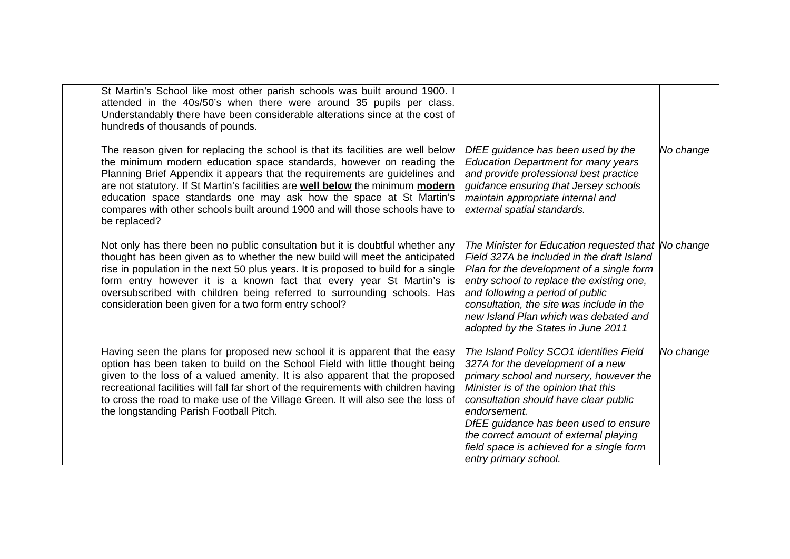| St Martin's School like most other parish schools was built around 1900. I<br>attended in the 40s/50's when there were around 35 pupils per class.<br>Understandably there have been considerable alterations since at the cost of<br>hundreds of thousands of pounds.                                                                                                                                                                                                                                |                                                                                                                                                                                                                                                                                                                                                                                   |           |
|-------------------------------------------------------------------------------------------------------------------------------------------------------------------------------------------------------------------------------------------------------------------------------------------------------------------------------------------------------------------------------------------------------------------------------------------------------------------------------------------------------|-----------------------------------------------------------------------------------------------------------------------------------------------------------------------------------------------------------------------------------------------------------------------------------------------------------------------------------------------------------------------------------|-----------|
| The reason given for replacing the school is that its facilities are well below<br>the minimum modern education space standards, however on reading the<br>Planning Brief Appendix it appears that the requirements are guidelines and<br>are not statutory. If St Martin's facilities are <b>well below</b> the minimum modern<br>education space standards one may ask how the space at St Martin's<br>compares with other schools built around 1900 and will those schools have to<br>be replaced? | DfEE guidance has been used by the<br><b>Education Department for many years</b><br>and provide professional best practice<br>guidance ensuring that Jersey schools<br>maintain appropriate internal and<br>external spatial standards.                                                                                                                                           | No change |
| Not only has there been no public consultation but it is doubtful whether any<br>thought has been given as to whether the new build will meet the anticipated<br>rise in population in the next 50 plus years. It is proposed to build for a single<br>form entry however it is a known fact that every year St Martin's is<br>oversubscribed with children being referred to surrounding schools. Has<br>consideration been given for a two form entry school?                                       | The Minister for Education requested that No change<br>Field 327A be included in the draft Island<br>Plan for the development of a single form<br>entry school to replace the existing one,<br>and following a period of public<br>consultation, the site was include in the<br>new Island Plan which was debated and<br>adopted by the States in June 2011                       |           |
| Having seen the plans for proposed new school it is apparent that the easy<br>option has been taken to build on the School Field with little thought being<br>given to the loss of a valued amenity. It is also apparent that the proposed<br>recreational facilities will fall far short of the requirements with children having<br>to cross the road to make use of the Village Green. It will also see the loss of<br>the longstanding Parish Football Pitch.                                     | The Island Policy SCO1 identifies Field<br>327A for the development of a new<br>primary school and nursery, however the<br>Minister is of the opinion that this<br>consultation should have clear public<br>endorsement.<br>DfEE guidance has been used to ensure<br>the correct amount of external playing<br>field space is achieved for a single form<br>entry primary school. | No change |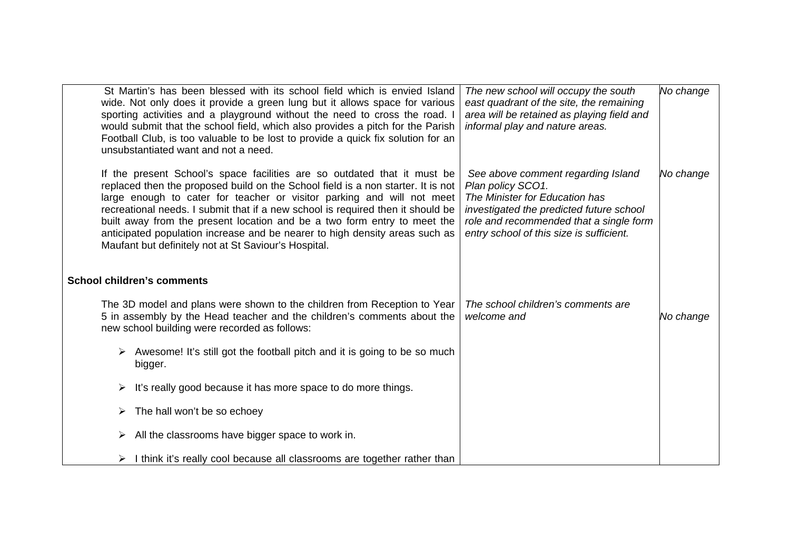| St Martin's has been blessed with its school field which is envied Island<br>wide. Not only does it provide a green lung but it allows space for various<br>sporting activities and a playground without the need to cross the road. I<br>would submit that the school field, which also provides a pitch for the Parish<br>Football Club, is too valuable to be lost to provide a quick fix solution for an<br>unsubstantiated want and not a need.                                                                                         | The new school will occupy the south<br>east quadrant of the site, the remaining<br>area will be retained as playing field and<br>informal play and nature areas.                                                            | No change |
|----------------------------------------------------------------------------------------------------------------------------------------------------------------------------------------------------------------------------------------------------------------------------------------------------------------------------------------------------------------------------------------------------------------------------------------------------------------------------------------------------------------------------------------------|------------------------------------------------------------------------------------------------------------------------------------------------------------------------------------------------------------------------------|-----------|
| If the present School's space facilities are so outdated that it must be<br>replaced then the proposed build on the School field is a non starter. It is not<br>large enough to cater for teacher or visitor parking and will not meet<br>recreational needs. I submit that if a new school is required then it should be<br>built away from the present location and be a two form entry to meet the<br>anticipated population increase and be nearer to high density areas such as<br>Maufant but definitely not at St Saviour's Hospital. | See above comment regarding Island<br>Plan policy SCO1.<br>The Minister for Education has<br>investigated the predicted future school<br>role and recommended that a single form<br>entry school of this size is sufficient. | No change |
| <b>School children's comments</b>                                                                                                                                                                                                                                                                                                                                                                                                                                                                                                            |                                                                                                                                                                                                                              |           |
| The 3D model and plans were shown to the children from Reception to Year<br>5 in assembly by the Head teacher and the children's comments about the<br>new school building were recorded as follows:                                                                                                                                                                                                                                                                                                                                         | The school children's comments are<br>welcome and                                                                                                                                                                            | No change |
| Awesome! It's still got the football pitch and it is going to be so much<br>bigger.                                                                                                                                                                                                                                                                                                                                                                                                                                                          |                                                                                                                                                                                                                              |           |
| It's really good because it has more space to do more things.<br>➤                                                                                                                                                                                                                                                                                                                                                                                                                                                                           |                                                                                                                                                                                                                              |           |
| The hall won't be so echoey                                                                                                                                                                                                                                                                                                                                                                                                                                                                                                                  |                                                                                                                                                                                                                              |           |
| All the classrooms have bigger space to work in.<br>➤                                                                                                                                                                                                                                                                                                                                                                                                                                                                                        |                                                                                                                                                                                                                              |           |
| I think it's really cool because all classrooms are together rather than<br>➤                                                                                                                                                                                                                                                                                                                                                                                                                                                                |                                                                                                                                                                                                                              |           |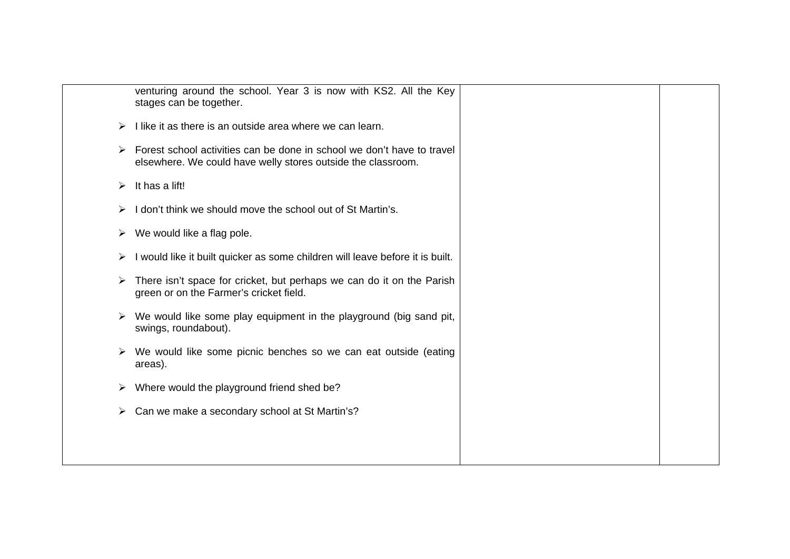| venturing around the school. Year 3 is now with KS2. All the Key<br>stages can be together.<br>I like it as there is an outside area where we can learn.<br>➤<br>Forest school activities can be done in school we don't have to travel<br>➤<br>elsewhere. We could have welly stores outside the classroom.<br>It has a lift!<br>➤<br>I don't think we should move the school out of St Martin's.<br>We would like a flag pole.<br>➤<br>I would like it built quicker as some children will leave before it is built.<br>➤<br>There isn't space for cricket, but perhaps we can do it on the Parish<br>green or on the Farmer's cricket field.<br>We would like some play equipment in the playground (big sand pit,<br>swings, roundabout).<br>We would like some picnic benches so we can eat outside (eating<br>➤<br>areas).<br>Where would the playground friend shed be?<br>➤<br>Can we make a secondary school at St Martin's?<br>➤ |  |  |
|--------------------------------------------------------------------------------------------------------------------------------------------------------------------------------------------------------------------------------------------------------------------------------------------------------------------------------------------------------------------------------------------------------------------------------------------------------------------------------------------------------------------------------------------------------------------------------------------------------------------------------------------------------------------------------------------------------------------------------------------------------------------------------------------------------------------------------------------------------------------------------------------------------------------------------------------|--|--|
|                                                                                                                                                                                                                                                                                                                                                                                                                                                                                                                                                                                                                                                                                                                                                                                                                                                                                                                                            |  |  |
|                                                                                                                                                                                                                                                                                                                                                                                                                                                                                                                                                                                                                                                                                                                                                                                                                                                                                                                                            |  |  |
|                                                                                                                                                                                                                                                                                                                                                                                                                                                                                                                                                                                                                                                                                                                                                                                                                                                                                                                                            |  |  |
|                                                                                                                                                                                                                                                                                                                                                                                                                                                                                                                                                                                                                                                                                                                                                                                                                                                                                                                                            |  |  |
|                                                                                                                                                                                                                                                                                                                                                                                                                                                                                                                                                                                                                                                                                                                                                                                                                                                                                                                                            |  |  |
|                                                                                                                                                                                                                                                                                                                                                                                                                                                                                                                                                                                                                                                                                                                                                                                                                                                                                                                                            |  |  |
|                                                                                                                                                                                                                                                                                                                                                                                                                                                                                                                                                                                                                                                                                                                                                                                                                                                                                                                                            |  |  |
|                                                                                                                                                                                                                                                                                                                                                                                                                                                                                                                                                                                                                                                                                                                                                                                                                                                                                                                                            |  |  |
|                                                                                                                                                                                                                                                                                                                                                                                                                                                                                                                                                                                                                                                                                                                                                                                                                                                                                                                                            |  |  |
|                                                                                                                                                                                                                                                                                                                                                                                                                                                                                                                                                                                                                                                                                                                                                                                                                                                                                                                                            |  |  |
|                                                                                                                                                                                                                                                                                                                                                                                                                                                                                                                                                                                                                                                                                                                                                                                                                                                                                                                                            |  |  |
|                                                                                                                                                                                                                                                                                                                                                                                                                                                                                                                                                                                                                                                                                                                                                                                                                                                                                                                                            |  |  |
|                                                                                                                                                                                                                                                                                                                                                                                                                                                                                                                                                                                                                                                                                                                                                                                                                                                                                                                                            |  |  |
|                                                                                                                                                                                                                                                                                                                                                                                                                                                                                                                                                                                                                                                                                                                                                                                                                                                                                                                                            |  |  |